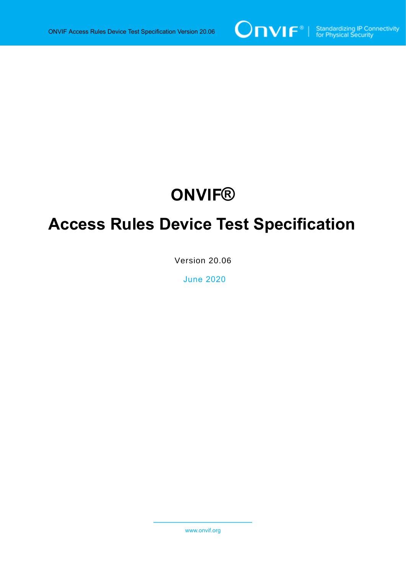

# **ONVIF®**

# **Access Rules Device Test Specification**

Version 20.06

June 2020

www.onvif.org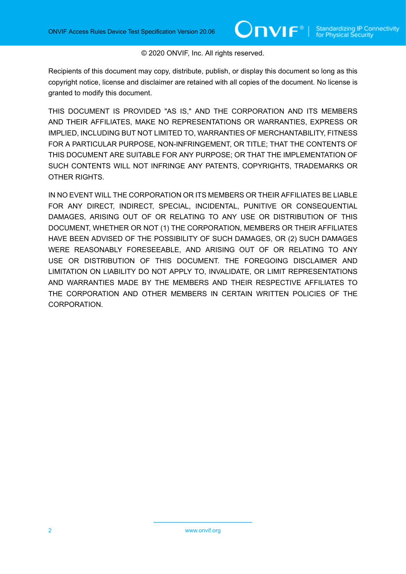#### © 2020 ONVIF, Inc. All rights reserved.

Recipients of this document may copy, distribute, publish, or display this document so long as this copyright notice, license and disclaimer are retained with all copies of the document. No license is granted to modify this document.

THIS DOCUMENT IS PROVIDED "AS IS," AND THE CORPORATION AND ITS MEMBERS AND THEIR AFFILIATES, MAKE NO REPRESENTATIONS OR WARRANTIES, EXPRESS OR IMPLIED, INCLUDING BUT NOT LIMITED TO, WARRANTIES OF MERCHANTABILITY, FITNESS FOR A PARTICULAR PURPOSE, NON-INFRINGEMENT, OR TITLE; THAT THE CONTENTS OF THIS DOCUMENT ARE SUITABLE FOR ANY PURPOSE; OR THAT THE IMPLEMENTATION OF SUCH CONTENTS WILL NOT INFRINGE ANY PATENTS, COPYRIGHTS, TRADEMARKS OR OTHER RIGHTS.

IN NO EVENT WILL THE CORPORATION OR ITS MEMBERS OR THEIR AFFILIATES BE LIABLE FOR ANY DIRECT, INDIRECT, SPECIAL, INCIDENTAL, PUNITIVE OR CONSEQUENTIAL DAMAGES, ARISING OUT OF OR RELATING TO ANY USE OR DISTRIBUTION OF THIS DOCUMENT, WHETHER OR NOT (1) THE CORPORATION, MEMBERS OR THEIR AFFILIATES HAVE BEEN ADVISED OF THE POSSIBILITY OF SUCH DAMAGES, OR (2) SUCH DAMAGES WERE REASONABLY FORESEEABLE, AND ARISING OUT OF OR RELATING TO ANY USE OR DISTRIBUTION OF THIS DOCUMENT. THE FOREGOING DISCLAIMER AND LIMITATION ON LIABILITY DO NOT APPLY TO, INVALIDATE, OR LIMIT REPRESENTATIONS AND WARRANTIES MADE BY THE MEMBERS AND THEIR RESPECTIVE AFFILIATES TO THE CORPORATION AND OTHER MEMBERS IN CERTAIN WRITTEN POLICIES OF THE CORPORATION.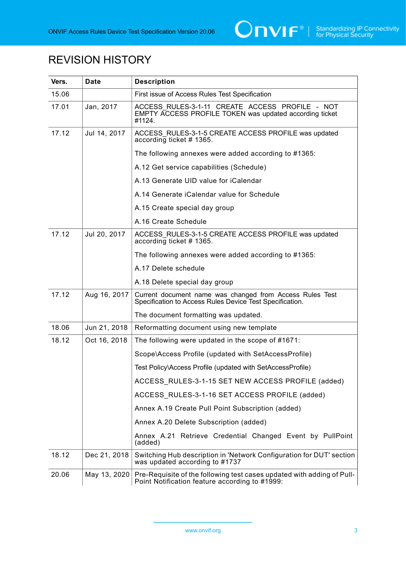

### REVISION HISTORY

| Vers. | Date         | <b>Description</b>                                                                                                       |
|-------|--------------|--------------------------------------------------------------------------------------------------------------------------|
| 15.06 |              | First issue of Access Rules Test Specification                                                                           |
| 17.01 | Jan, 2017    | ACCESS RULES-3-1-11 CREATE ACCESS PROFILE - NOT<br>EMPTY ACCESS PROFILE TOKEN was updated according ticket<br>#1124.     |
| 17.12 | Jul 14, 2017 | ACCESS RULES-3-1-5 CREATE ACCESS PROFILE was updated<br>according ticket $#$ 1365.                                       |
|       |              | The following annexes were added according to #1365:                                                                     |
|       |              | A.12 Get service capabilities (Schedule)                                                                                 |
|       |              | A.13 Generate UID value for iCalendar                                                                                    |
|       |              | A.14 Generate iCalendar value for Schedule                                                                               |
|       |              | A.15 Create special day group                                                                                            |
|       |              | A.16 Create Schedule                                                                                                     |
| 17.12 | Jul 20, 2017 | ACCESS RULES-3-1-5 CREATE ACCESS PROFILE was updated<br>according ticket $#$ 1365.                                       |
|       |              | The following annexes were added according to #1365:                                                                     |
|       |              | A.17 Delete schedule                                                                                                     |
|       |              | A.18 Delete special day group                                                                                            |
| 17.12 | Aug 16, 2017 | Current document name was changed from Access Rules Test<br>Specification to Access Rules Device Test Specification.     |
|       |              | The document formatting was updated.                                                                                     |
| 18.06 | Jun 21, 2018 | Reformatting document using new template                                                                                 |
| 18.12 | Oct 16, 2018 | The following were updated in the scope of #1671:                                                                        |
|       |              | Scope\Access Profile (updated with SetAccessProfile)                                                                     |
|       |              | Test Policy\Access Profile (updated with SetAccessProfile)                                                               |
|       |              | ACCESS_RULES-3-1-15 SET NEW ACCESS PROFILE (added)                                                                       |
|       |              | ACCESS_RULES-3-1-16 SET ACCESS PROFILE (added)                                                                           |
|       |              | Annex A.19 Create Pull Point Subscription (added)                                                                        |
|       |              | Annex A.20 Delete Subscription (added)                                                                                   |
|       |              | Annex A.21 Retrieve Credential Changed Event by PullPoint<br>(added)                                                     |
| 18.12 | Dec 21, 2018 | Switching Hub description in 'Network Configuration for DUT' section<br>was updated according to #1737                   |
| 20.06 | May 13, 2020 | Pre-Requisite of the following test cases updated with adding of Pull-<br>Point Notification feature according to #1999: |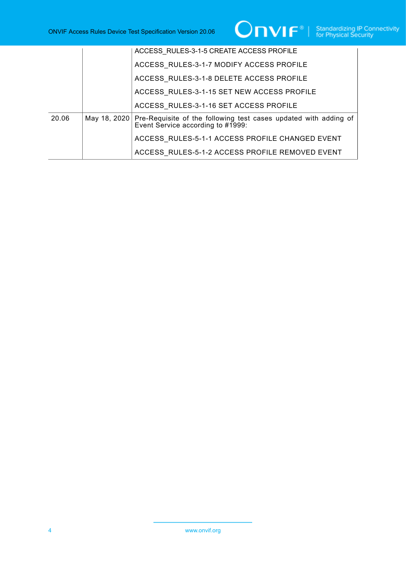# $\boxed{\color{red} \bigcap \textbf{VIF}^{\textcolor{red}{\circ}} \; | \; \; \substack{\textnormal{Standardizing IP Connectivity} \\ \textnormal{for Physical Security}}}$

|       | ACCESS RULES-3-1-5 CREATE ACCESS PROFILE                                                                           |
|-------|--------------------------------------------------------------------------------------------------------------------|
|       | ACCESS RULES-3-1-7 MODIFY ACCESS PROFILE                                                                           |
|       | ACCESS RULES-3-1-8 DELETE ACCESS PROFILE                                                                           |
|       | ACCESS RULES-3-1-15 SET NEW ACCESS PROFILE                                                                         |
|       | ACCESS RULES-3-1-16 SET ACCESS PROFILE                                                                             |
| 20.06 | May 18, 2020 Pre-Requisite of the following test cases updated with adding of<br>Event Service according to #1999: |
|       | ACCESS RULES-5-1-1 ACCESS PROFILE CHANGED EVENT                                                                    |
|       | ACCESS RULES-5-1-2 ACCESS PROFILE REMOVED EVENT                                                                    |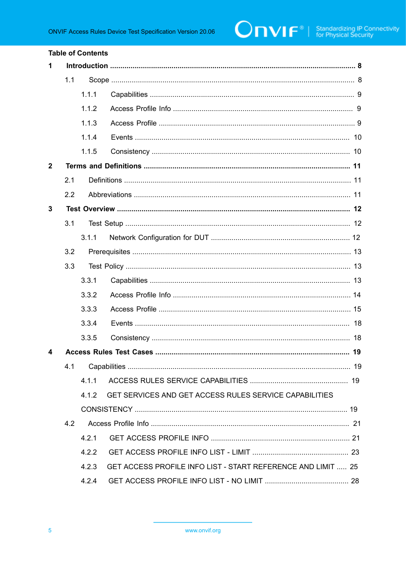

#### **Table of Contents** 1  $1.1$  $1.1.1$  $1.1.2$  $1.1.3$  $1.1.4$  $1.1.5$  $\overline{2}$  $2.1$  $2.2$ 3  $3.1$  $3.1.1$  $3.2$ 33  $3.3.1$  $3.3.2$  $3.3.3$  $3.3.4$  $3.3.5$  $\boldsymbol{\Lambda}$  $4.1$ 4 1 1 GET SERVICES AND GET ACCESS RULES SERVICE CAPABILITIES 412  $\Delta$  2 421

- GET ACCESS PROFILE INFO LIST LIMIT 23 422  $4.2.3$ GET ACCESS PROFILE INFO LIST - START REFERENCE AND LIMIT ..... 25
- $4.2.4$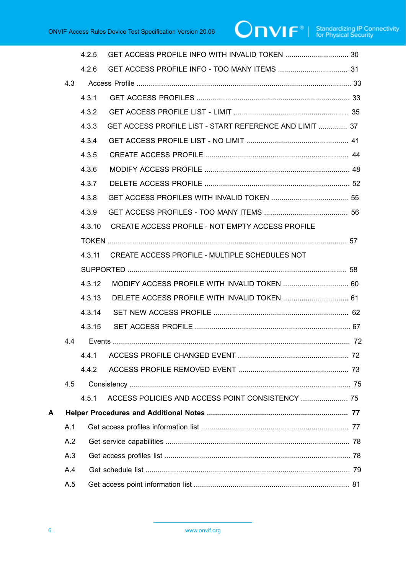|   |     | 4.2.5  |                                                         |  |  |  |
|---|-----|--------|---------------------------------------------------------|--|--|--|
|   |     | 426    |                                                         |  |  |  |
|   | 4.3 |        |                                                         |  |  |  |
|   |     | 4.3.1  |                                                         |  |  |  |
|   |     | 4.3.2  |                                                         |  |  |  |
|   |     | 4.3.3  | GET ACCESS PROFILE LIST - START REFERENCE AND LIMIT  37 |  |  |  |
|   |     | 4.3.4  |                                                         |  |  |  |
|   |     | 4.3.5  |                                                         |  |  |  |
|   |     | 4.3.6  |                                                         |  |  |  |
|   |     | 4.3.7  |                                                         |  |  |  |
|   |     | 4.3.8  |                                                         |  |  |  |
|   |     | 4.3.9  |                                                         |  |  |  |
|   |     | 4.3.10 | CREATE ACCESS PROFILE - NOT EMPTY ACCESS PROFILE        |  |  |  |
|   |     |        |                                                         |  |  |  |
|   |     | 4.3.11 | CREATE ACCESS PROFILE - MULTIPLE SCHEDULES NOT          |  |  |  |
|   |     |        |                                                         |  |  |  |
|   |     | 4.3.12 | MODIFY ACCESS PROFILE WITH INVALID TOKEN  60            |  |  |  |
|   |     | 4.3.13 | DELETE ACCESS PROFILE WITH INVALID TOKEN  61            |  |  |  |
|   |     | 4.3.14 |                                                         |  |  |  |
|   |     | 4.3.15 |                                                         |  |  |  |
|   | 4.4 |        |                                                         |  |  |  |
|   |     | 4.4.1  |                                                         |  |  |  |
|   |     | 4.4.2  |                                                         |  |  |  |
|   | 4.5 |        |                                                         |  |  |  |
|   |     | 4.5.1  | ACCESS POLICIES AND ACCESS POINT CONSISTENCY  75        |  |  |  |
| А |     |        |                                                         |  |  |  |
|   | A.1 |        |                                                         |  |  |  |
|   | A.2 |        |                                                         |  |  |  |
|   | A.3 |        |                                                         |  |  |  |
|   | A.4 |        |                                                         |  |  |  |
|   | A.5 |        |                                                         |  |  |  |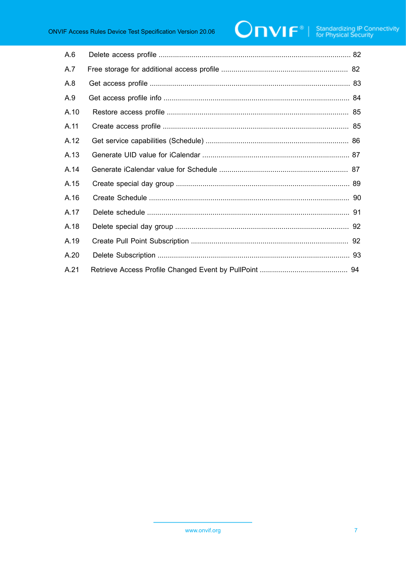| A.6  |  |
|------|--|
| A.7  |  |
| A.8  |  |
| A.9  |  |
| A.10 |  |
| A.11 |  |
| A.12 |  |
| A.13 |  |
| A.14 |  |
| A.15 |  |
| A.16 |  |
| A.17 |  |
| A.18 |  |
| A.19 |  |
| A.20 |  |
| A.21 |  |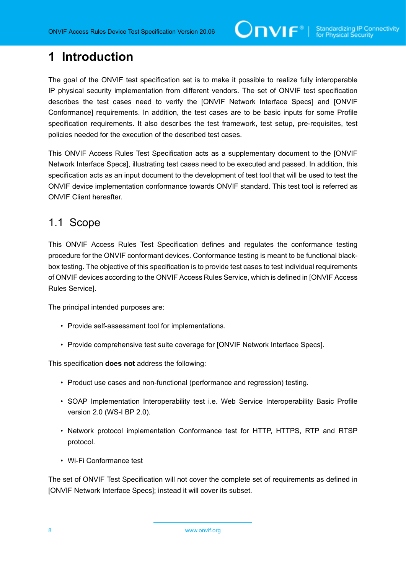### <span id="page-7-0"></span>**1 Introduction**

The goal of the ONVIF test specification set is to make it possible to realize fully interoperable IP physical security implementation from different vendors. The set of ONVIF test specification describes the test cases need to verify the [ONVIF Network Interface Specs] and [ONVIF Conformance] requirements. In addition, the test cases are to be basic inputs for some Profile specification requirements. It also describes the test framework, test setup, pre-requisites, test policies needed for the execution of the described test cases.

This ONVIF Access Rules Test Specification acts as a supplementary document to the [ONVIF Network Interface Specs], illustrating test cases need to be executed and passed. In addition, this specification acts as an input document to the development of test tool that will be used to test the ONVIF device implementation conformance towards ONVIF standard. This test tool is referred as ONVIF Client hereafter.

### <span id="page-7-1"></span>1.1 Scope

This ONVIF Access Rules Test Specification defines and regulates the conformance testing procedure for the ONVIF conformant devices. Conformance testing is meant to be functional blackbox testing. The objective of this specification is to provide test cases to test individual requirements of ONVIF devices according to the ONVIF Access Rules Service, which is defined in [ONVIF Access Rules Service].

The principal intended purposes are:

- Provide self-assessment tool for implementations.
- Provide comprehensive test suite coverage for [ONVIF Network Interface Specs].

This specification **does not** address the following:

- Product use cases and non-functional (performance and regression) testing.
- SOAP Implementation Interoperability test i.e. Web Service Interoperability Basic Profile version 2.0 (WS-I BP 2.0).
- Network protocol implementation Conformance test for HTTP, HTTPS, RTP and RTSP protocol.
- Wi-Fi Conformance test

The set of ONVIF Test Specification will not cover the complete set of requirements as defined in [ONVIF Network Interface Specs]; instead it will cover its subset.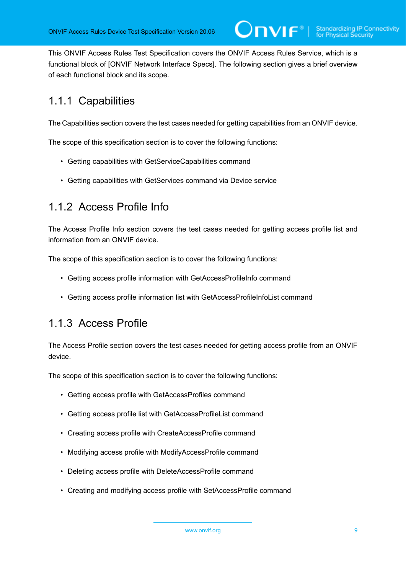This ONVIF Access Rules Test Specification covers the ONVIF Access Rules Service, which is a functional block of [ONVIF Network Interface Specs]. The following section gives a brief overview of each functional block and its scope.

### <span id="page-8-0"></span>1.1.1 Capabilities

The Capabilities section covers the test cases needed for getting capabilities from an ONVIF device.

The scope of this specification section is to cover the following functions:

- Getting capabilities with GetServiceCapabilities command
- Getting capabilities with GetServices command via Device service

### <span id="page-8-1"></span>1.1.2 Access Profile Info

The Access Profile Info section covers the test cases needed for getting access profile list and information from an ONVIF device.

The scope of this specification section is to cover the following functions:

- Getting access profile information with GetAccessProfileInfo command
- Getting access profile information list with GetAccessProfileInfoList command

### <span id="page-8-2"></span>1.1.3 Access Profile

The Access Profile section covers the test cases needed for getting access profile from an ONVIF device.

The scope of this specification section is to cover the following functions:

- Getting access profile with GetAccessProfiles command
- Getting access profile list with GetAccessProfileList command
- Creating access profile with CreateAccessProfile command
- Modifying access profile with ModifyAccessProfile command
- Deleting access profile with DeleteAccessProfile command
- Creating and modifying access profile with SetAccessProfile command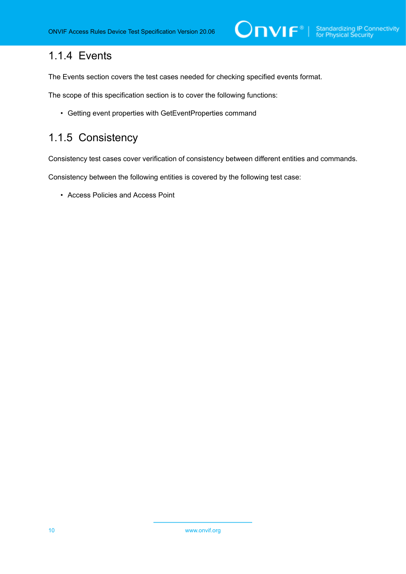### <span id="page-9-0"></span>1.1.4 Events

The Events section covers the test cases needed for checking specified events format.

The scope of this specification section is to cover the following functions:

• Getting event properties with GetEventProperties command

### <span id="page-9-1"></span>1.1.5 Consistency

Consistency test cases cover verification of consistency between different entities and commands.

Consistency between the following entities is covered by the following test case:

• Access Policies and Access Point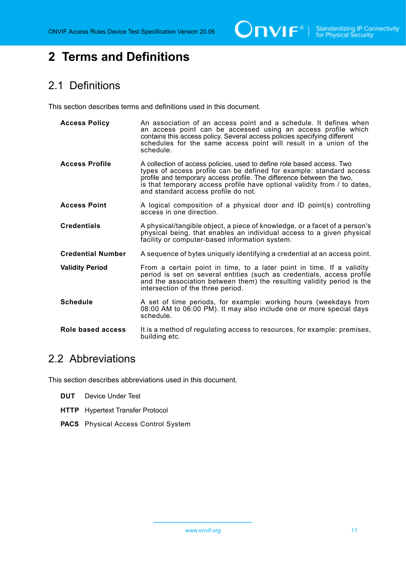$\bigcirc$   $\blacksquare$   $\blacksquare$   $\blacksquare$  Standardizing IP Connectivity

### <span id="page-10-0"></span>**2 Terms and Definitions**

### <span id="page-10-1"></span>2.1 Definitions

This section describes terms and definitions used in this document.

**Access Policy** An association of an access point and a schedule. It defines when an access point can be accessed using an access profile which contains this access policy. Several access policies specifying different schedules for the same access point will result in a union of the schedule. **Access Profile** A collection of access policies, used to define role based access. Two types of access profile can be defined for example: standard access profile and temporary access profile. The difference between the two, is that temporary access profile have optional validity from / to dates, and standard access profile do not. **Access Point** A logical composition of a physical door and ID point(s) controlling access in one direction. **Credentials** A physical/tangible object, a piece of knowledge, or a facet of a person's physical being, that enables an individual access to a given physical facility or computer-based information system. **Credential Number** A sequence of bytes uniquely identifying a credential at an access point. **Validity Period** From a certain point in time, to a later point in time. If a validity period is set on several entities (such as credentials, access profile and the association between them) the resulting validity period is the intersection of the three period. **Schedule** A set of time periods, for example: working hours (weekdays from 08:00 AM to 06:00 PM). It may also include one or more special days schedule. **Role based access** It is a method of regulating access to resources, for example: premises, building etc.

### <span id="page-10-2"></span>2.2 Abbreviations

This section describes abbreviations used in this document.

- **DUT** Device Under Test
- **HTTP** Hypertext Transfer Protocol
- **PACS** Physical Access Control System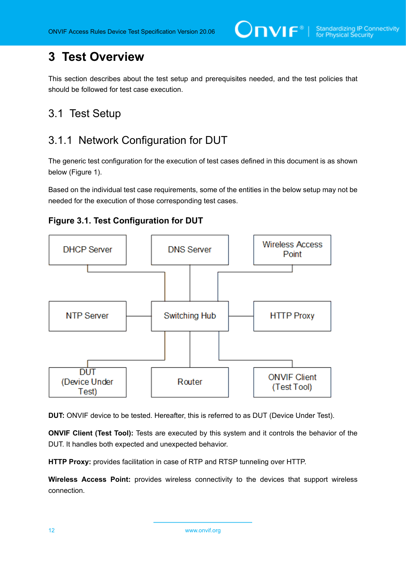### <span id="page-11-0"></span>**3 Test Overview**

This section describes about the test setup and prerequisites needed, and the test policies that should be followed for test case execution.

### <span id="page-11-1"></span>3.1 Test Setup

### <span id="page-11-2"></span>3.1.1 Network Configuration for DUT

The generic test configuration for the execution of test cases defined in this document is as shown below (Figure 1).

Based on the individual test case requirements, some of the entities in the below setup may not be needed for the execution of those corresponding test cases.





**DUT:** ONVIF device to be tested. Hereafter, this is referred to as DUT (Device Under Test).

**ONVIF Client (Test Tool):** Tests are executed by this system and it controls the behavior of the DUT. It handles both expected and unexpected behavior.

**HTTP Proxy:** provides facilitation in case of RTP and RTSP tunneling over HTTP.

**Wireless Access Point:** provides wireless connectivity to the devices that support wireless connection.

12 www.onvif.org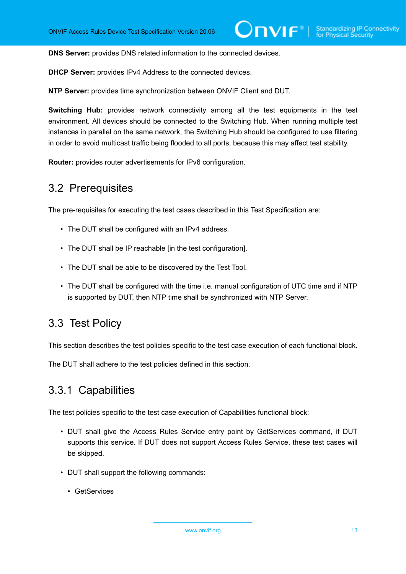**DNS Server:** provides DNS related information to the connected devices.

**DHCP Server:** provides IPv4 Address to the connected devices.

**NTP Server:** provides time synchronization between ONVIF Client and DUT.

**Switching Hub:** provides network connectivity among all the test equipments in the test environment. All devices should be connected to the Switching Hub. When running multiple test instances in parallel on the same network, the Switching Hub should be configured to use filtering in order to avoid multicast traffic being flooded to all ports, because this may affect test stability.

<span id="page-12-0"></span>**Router:** provides router advertisements for IPv6 configuration.

### 3.2 Prerequisites

The pre-requisites for executing the test cases described in this Test Specification are:

- The DUT shall be configured with an IPv4 address.
- The DUT shall be IP reachable [in the test configuration].
- The DUT shall be able to be discovered by the Test Tool.
- The DUT shall be configured with the time i.e. manual configuration of UTC time and if NTP is supported by DUT, then NTP time shall be synchronized with NTP Server.

### <span id="page-12-1"></span>3.3 Test Policy

This section describes the test policies specific to the test case execution of each functional block.

<span id="page-12-2"></span>The DUT shall adhere to the test policies defined in this section.

### 3.3.1 Capabilities

The test policies specific to the test case execution of Capabilities functional block:

- DUT shall give the Access Rules Service entry point by GetServices command, if DUT supports this service. If DUT does not support Access Rules Service, these test cases will be skipped.
- DUT shall support the following commands:
	- GetServices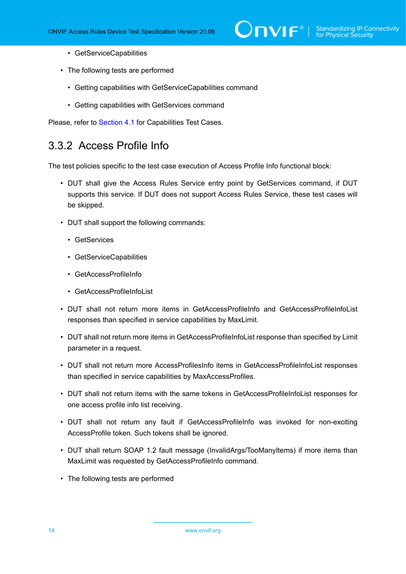- GetServiceCapabilities
- The following tests are performed
	- Getting capabilities with GetServiceCapabilities command
	- Getting capabilities with GetServices command

<span id="page-13-0"></span>Please, refer to [Section 4.1](#page-18-1) for Capabilities Test Cases.

### 3.3.2 Access Profile Info

The test policies specific to the test case execution of Access Profile Info functional block:

- DUT shall give the Access Rules Service entry point by GetServices command, if DUT supports this service. If DUT does not support Access Rules Service, these test cases will be skipped.
- DUT shall support the following commands:
	- GetServices
	- GetServiceCapabilities
	- GetAccessProfileInfo
	- GetAccessProfileInfoList
- DUT shall not return more items in GetAccessProfileInfo and GetAccessProfileInfoList responses than specified in service capabilities by MaxLimit.
- DUT shall not return more items in GetAccessProfileInfoList response than specified by Limit parameter in a request.
- DUT shall not return more AccessProfilesInfo items in GetAccessProfileInfoList responses than specified in service capabilities by MaxAccessProfiles.
- DUT shall not return items with the same tokens in GetAccessProfileInfoList responses for one access profile info list receiving.
- DUT shall not return any fault if GetAccessProfileInfo was invoked for non-exciting AccessProfile token. Such tokens shall be ignored.
- DUT shall return SOAP 1.2 fault message (InvalidArgs/TooManyItems) if more items than MaxLimit was requested by GetAccessProfileInfo command.
- The following tests are performed

14 www.onvif.org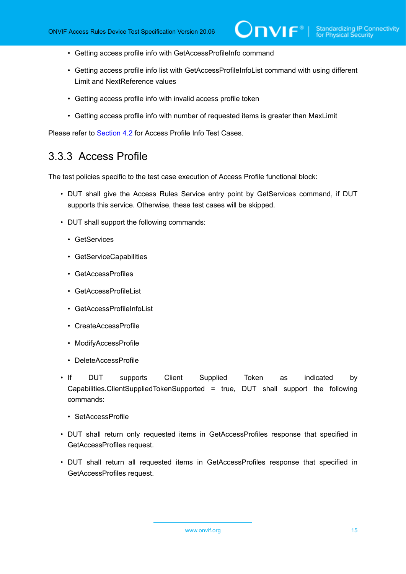- Getting access profile info with GetAccessProfileInfo command
- Getting access profile info list with GetAccessProfileInfoList command with using different Limit and NextReference values
- Getting access profile info with invalid access profile token
- Getting access profile info with number of requested items is greater than MaxLimit

<span id="page-14-0"></span>Please refer to [Section 4.2](#page-20-0) for Access Profile Info Test Cases.

### 3.3.3 Access Profile

The test policies specific to the test case execution of Access Profile functional block:

- DUT shall give the Access Rules Service entry point by GetServices command, if DUT supports this service. Otherwise, these test cases will be skipped.
- DUT shall support the following commands:
	- GetServices
	- GetServiceCapabilities
	- GetAccessProfiles
	- GetAccessProfileList
	- GetAccessProfileInfoList
	- CreateAccessProfile
	- ModifyAccessProfile
	- DeleteAccessProfile
- If DUT supports Client Supplied Token as indicated by Capabilities.ClientSuppliedTokenSupported = true, DUT shall support the following commands:
	- SetAccessProfile
- DUT shall return only requested items in GetAccessProfiles response that specified in GetAccessProfiles request.
- DUT shall return all requested items in GetAccessProfiles response that specified in GetAccessProfiles request.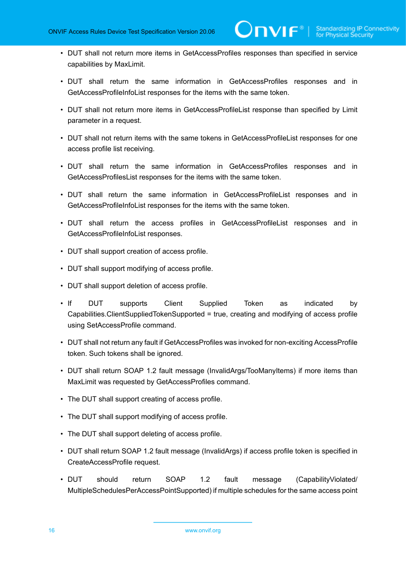- DUT shall not return more items in GetAccessProfiles responses than specified in service capabilities by MaxLimit.
- DUT shall return the same information in GetAccessProfiles responses and in GetAccessProfileInfoList responses for the items with the same token.
- DUT shall not return more items in GetAccessProfileList response than specified by Limit parameter in a request.
- DUT shall not return items with the same tokens in GetAccessProfileList responses for one access profile list receiving.
- DUT shall return the same information in GetAccessProfiles responses and in GetAccessProfilesList responses for the items with the same token.
- DUT shall return the same information in GetAccessProfileList responses and in GetAccessProfileInfoList responses for the items with the same token.
- DUT shall return the access profiles in GetAccessProfileList responses and in GetAccessProfileInfoList responses.
- DUT shall support creation of access profile.
- DUT shall support modifying of access profile.
- DUT shall support deletion of access profile.
- If DUT supports Client Supplied Token as indicated by Capabilities.ClientSuppliedTokenSupported = true, creating and modifying of access profile using SetAccessProfile command.
- DUT shall not return any fault if GetAccessProfiles was invoked for non-exciting AccessProfile token. Such tokens shall be ignored.
- DUT shall return SOAP 1.2 fault message (InvalidArgs/TooManyItems) if more items than MaxLimit was requested by GetAccessProfiles command.
- The DUT shall support creating of access profile.
- The DUT shall support modifying of access profile.
- The DUT shall support deleting of access profile.
- DUT shall return SOAP 1.2 fault message (InvalidArgs) if access profile token is specified in CreateAccessProfile request.
- DUT should return SOAP 1.2 fault message (CapabilityViolated/ MultipleSchedulesPerAccessPointSupported) if multiple schedules for the same access point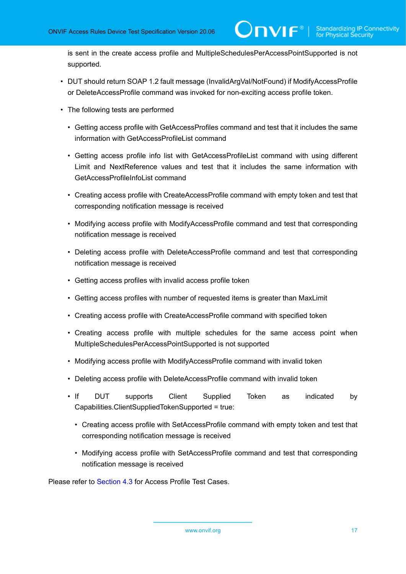is sent in the create access profile and MultipleSchedulesPerAccessPointSupported is not supported.

- DUT should return SOAP 1.2 fault message (InvalidArgVal/NotFound) if ModifyAccessProfile or DeleteAccessProfile command was invoked for non-exciting access profile token.
- The following tests are performed
	- Getting access profile with GetAccessProfiles command and test that it includes the same information with GetAccessProfileList command
	- Getting access profile info list with GetAccessProfileList command with using different Limit and NextReference values and test that it includes the same information with GetAccessProfileInfoList command
	- Creating access profile with CreateAccessProfile command with empty token and test that corresponding notification message is received
	- Modifying access profile with ModifyAccessProfile command and test that corresponding notification message is received
	- Deleting access profile with DeleteAccessProfile command and test that corresponding notification message is received
	- Getting access profiles with invalid access profile token
	- Getting access profiles with number of requested items is greater than MaxLimit
	- Creating access profile with CreateAccessProfile command with specified token
	- Creating access profile with multiple schedules for the same access point when MultipleSchedulesPerAccessPointSupported is not supported
	- Modifying access profile with ModifyAccessProfile command with invalid token
	- Deleting access profile with DeleteAccessProfile command with invalid token
	- If DUT supports Client Supplied Token as indicated by Capabilities.ClientSuppliedTokenSupported = true:
		- Creating access profile with SetAccessProfile command with empty token and test that corresponding notification message is received
		- Modifying access profile with SetAccessProfile command and test that corresponding notification message is received

Please refer to [Section 4.3](#page-32-0) for Access Profile Test Cases.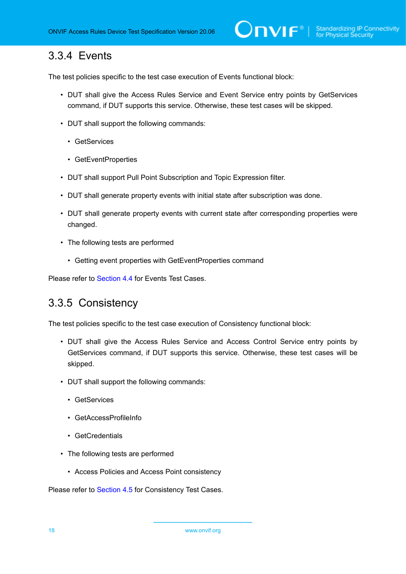### <span id="page-17-0"></span>3.3.4 Events

The test policies specific to the test case execution of Events functional block:

- DUT shall give the Access Rules Service and Event Service entry points by GetServices command, if DUT supports this service. Otherwise, these test cases will be skipped.
- DUT shall support the following commands:
	- GetServices
	- GetEventProperties
- DUT shall support Pull Point Subscription and Topic Expression filter.
- DUT shall generate property events with initial state after subscription was done.
- DUT shall generate property events with current state after corresponding properties were changed.
- The following tests are performed
	- Getting event properties with GetEventProperties command

<span id="page-17-1"></span>Please refer to [Section 4.4](#page-71-0) for Events Test Cases.

### 3.3.5 Consistency

The test policies specific to the test case execution of Consistency functional block:

- DUT shall give the Access Rules Service and Access Control Service entry points by GetServices command, if DUT supports this service. Otherwise, these test cases will be skipped.
- DUT shall support the following commands:
	- GetServices
	- GetAccessProfileInfo
	- GetCredentials
- The following tests are performed
	- Access Policies and Access Point consistency

Please refer to [Section 4.5](#page-74-0) for Consistency Test Cases.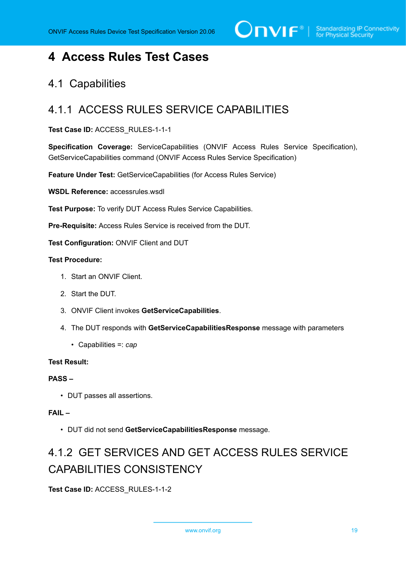$\bigcirc$  MVIF  $^{\circ}$  | Standardizing IP Connectivity

### <span id="page-18-0"></span>**4 Access Rules Test Cases**

### <span id="page-18-1"></span>4.1 Capabilities

### <span id="page-18-2"></span>4.1.1 ACCESS RULES SERVICE CAPABILITIES

### **Test Case ID:** ACCESS\_RULES-1-1-1

**Specification Coverage:** ServiceCapabilities (ONVIF Access Rules Service Specification), GetServiceCapabilities command (ONVIF Access Rules Service Specification)

**Feature Under Test:** GetServiceCapabilities (for Access Rules Service)

**WSDL Reference:** accessrules.wsdl

**Test Purpose:** To verify DUT Access Rules Service Capabilities.

**Pre-Requisite:** Access Rules Service is received from the DUT.

**Test Configuration:** ONVIF Client and DUT

#### **Test Procedure:**

- 1. Start an ONVIF Client.
- 2. Start the DUT.
- 3. ONVIF Client invokes **GetServiceCapabilities**.
- 4. The DUT responds with **GetServiceCapabilitiesResponse** message with parameters
	- Capabilities =: *cap*

#### **Test Result:**

#### **PASS –**

• DUT passes all assertions.

#### **FAIL –**

• DUT did not send **GetServiceCapabilitiesResponse** message.

## <span id="page-18-3"></span>4.1.2 GET SERVICES AND GET ACCESS RULES SERVICE CAPABILITIES CONSISTENCY

**Test Case ID:** ACCESS\_RULES-1-1-2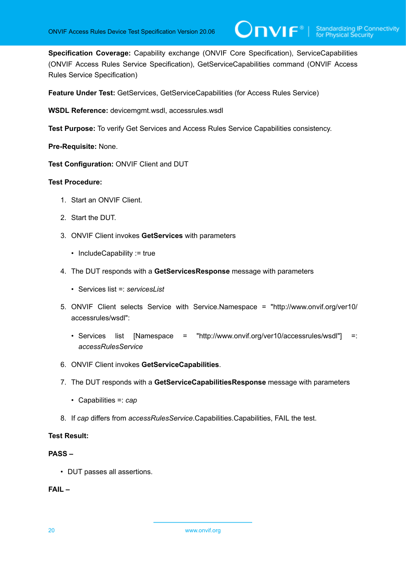**Specification Coverage:** Capability exchange (ONVIF Core Specification), ServiceCapabilities (ONVIF Access Rules Service Specification), GetServiceCapabilities command (ONVIF Access Rules Service Specification)

 $\mathsf{D}\mathbf{N}\mathsf{I}\mathsf{F}^\ast$  i

**Feature Under Test:** GetServices, GetServiceCapabilities (for Access Rules Service)

**WSDL Reference:** devicemgmt.wsdl, accessrules.wsdl

**Test Purpose:** To verify Get Services and Access Rules Service Capabilities consistency.

**Pre-Requisite:** None.

**Test Configuration:** ONVIF Client and DUT

#### **Test Procedure:**

- 1. Start an ONVIF Client.
- 2. Start the DUT.
- 3. ONVIF Client invokes **GetServices** with parameters
	- IncludeCapability := true
- 4. The DUT responds with a **GetServicesResponse** message with parameters
	- Services list =: *servicesList*
- 5. ONVIF Client selects Service with Service.Namespace = "http://www.onvif.org/ver10/ accessrules/wsdl":
	- Services list [Namespace = "http://www.onvif.org/ver10/accessrules/wsdl"] =: *accessRulesService*
- 6. ONVIF Client invokes **GetServiceCapabilities**.
- 7. The DUT responds with a **GetServiceCapabilitiesResponse** message with parameters
	- Capabilities =: *cap*
- <span id="page-19-0"></span>8. If *cap* differs from *accessRulesService*.Capabilities.Capabilities, FAIL the test.

### **Test Result:**

#### **PASS –**

• DUT passes all assertions.

**FAIL –**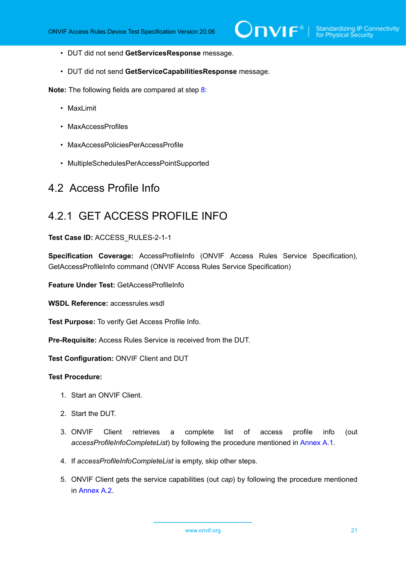- DUT did not send **GetServicesResponse** message.
- DUT did not send **GetServiceCapabilitiesResponse** message.

**Note:** The following fields are compared at step [8:](#page-19-0)

- MaxLimit
- MaxAccessProfiles
- MaxAccessPoliciesPerAccessProfile
- MultipleSchedulesPerAccessPointSupported

### <span id="page-20-0"></span>4.2 Access Profile Info

### <span id="page-20-1"></span>4.2.1 GET ACCESS PROFILE INFO

#### **Test Case ID:** ACCESS\_RULES-2-1-1

**Specification Coverage:** AccessProfileInfo (ONVIF Access Rules Service Specification), GetAccessProfileInfo command (ONVIF Access Rules Service Specification)

**Feature Under Test:** GetAccessProfileInfo

**WSDL Reference:** accessrules.wsdl

**Test Purpose:** To verify Get Access Profile Info.

**Pre-Requisite:** Access Rules Service is received from the DUT.

**Test Configuration:** ONVIF Client and DUT

- 1. Start an ONVIF Client.
- 2. Start the DUT.
- 3. ONVIF Client retrieves a complete list of access profile info (out *accessProfileInfoCompleteList*) by following the procedure mentioned in [Annex A.1.](#page-76-1)
- 4. If *accessProfileInfoCompleteList* is empty, skip other steps.
- 5. ONVIF Client gets the service capabilities (out *cap*) by following the procedure mentioned in [Annex A.2.](#page-77-0)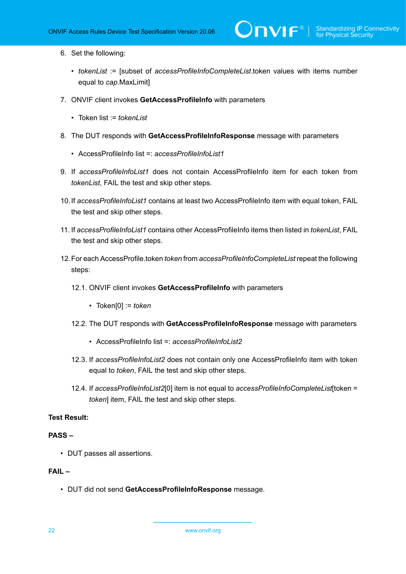- <span id="page-21-0"></span>6. Set the following:
	- *tokenList* := [subset of *accessProfileInfoCompleteList*.token values with items number equal to *cap*.MaxLimit]
- 7. ONVIF client invokes **GetAccessProfileInfo** with parameters
	- Token list := *tokenList*
- 8. The DUT responds with **GetAccessProfileInfoResponse** message with parameters
	- AccessProfileInfo list =: *accessProfileInfoList1*
- 9. If *accessProfileInfoList1* does not contain AccessProfileInfo item for each token from *tokenList*, FAIL the test and skip other steps.
- 10.If *accessProfileInfoList1* contains at least two AccessProfileInfo item with equal token, FAIL the test and skip other steps.
- 11. If *accessProfileInfoList1* contains other AccessProfileInfo items then listed in *tokenList*, FAIL the test and skip other steps.
- 12.For each AccessProfile.token *token* from *accessProfileInfoCompleteList* repeat the following steps:
	- 12.1. ONVIF client invokes **GetAccessProfileInfo** with parameters
		- Token[0] := *token*
	- 12.2. The DUT responds with **GetAccessProfileInfoResponse** message with parameters
		- AccessProfileInfo list =: *accessProfileInfoList2*
	- 12.3. If *accessProfileInfoList2* does not contain only one AccessProfileInfo item with token equal to *token*, FAIL the test and skip other steps.
	- 12.4. If *accessProfileInfoList2*[0] item is not equal to *accessProfileInfoCompleteList*[token = *token*] item, FAIL the test and skip other steps.

#### <span id="page-21-1"></span>**Test Result:**

#### **PASS –**

• DUT passes all assertions.

#### **FAIL –**

• DUT did not send **GetAccessProfileInfoResponse** message.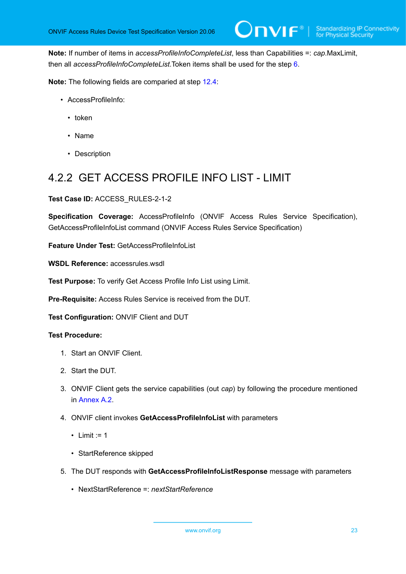**Note:** If number of items in *accessProfileInfoCompleteList*, less than Capabilities =: *cap*.MaxLimit, then all *accessProfileInfoCompleteList*.Token items shall be used for the step [6.](#page-21-0)

**Note:** The following fields are comparied at step [12.4:](#page-21-1)

- AccessProfileInfo:
	- token
	- Name
	- Description

### <span id="page-22-0"></span>4.2.2 GET ACCESS PROFILE INFO LIST - LIMIT

**Test Case ID:** ACCESS\_RULES-2-1-2

Specification Coverage: AccessProfileInfo (ONVIF Access Rules Service Specification), GetAccessProfileInfoList command (ONVIF Access Rules Service Specification)

**Feature Under Test:** GetAccessProfileInfoList

**WSDL Reference:** accessrules.wsdl

**Test Purpose:** To verify Get Access Profile Info List using Limit.

**Pre-Requisite:** Access Rules Service is received from the DUT.

**Test Configuration:** ONVIF Client and DUT

- 1. Start an ONVIF Client.
- 2. Start the DUT.
- 3. ONVIF Client gets the service capabilities (out *cap*) by following the procedure mentioned in [Annex A.2.](#page-77-0)
- 4. ONVIF client invokes **GetAccessProfileInfoList** with parameters
	- Limit  $:= 1$
	- StartReference skipped
- 5. The DUT responds with **GetAccessProfileInfoListResponse** message with parameters
	- NextStartReference =: *nextStartReference*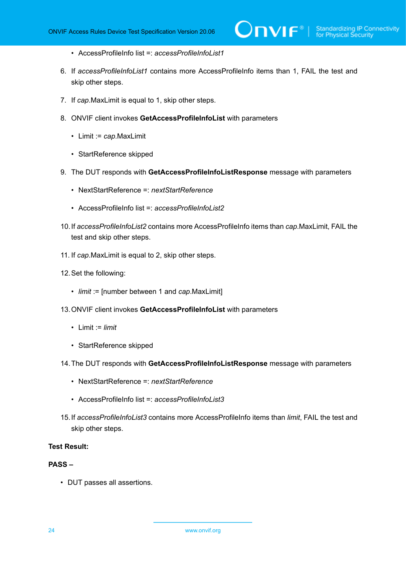- AccessProfileInfo list =: *accessProfileInfoList1*
- 6. If *accessProfileInfoList1* contains more AccessProfileInfo items than 1, FAIL the test and skip other steps.
- 7. If *cap*.MaxLimit is equal to 1, skip other steps.
- 8. ONVIF client invokes **GetAccessProfileInfoList** with parameters
	- Limit := *cap*.MaxLimit
	- StartReference skipped
- 9. The DUT responds with **GetAccessProfileInfoListResponse** message with parameters
	- NextStartReference =: *nextStartReference*
	- AccessProfileInfo list =: *accessProfileInfoList2*
- 10.If *accessProfileInfoList2* contains more AccessProfileInfo items than *cap*.MaxLimit, FAIL the test and skip other steps.
- 11. If *cap*.MaxLimit is equal to 2, skip other steps.
- 12.Set the following:
	- *limit* := [number between 1 and *cap*.MaxLimit]
- 13.ONVIF client invokes **GetAccessProfileInfoList** with parameters
	- Limit := *limit*
	- StartReference skipped
- 14.The DUT responds with **GetAccessProfileInfoListResponse** message with parameters
	- NextStartReference =: *nextStartReference*
	- AccessProfileInfo list =: *accessProfileInfoList3*
- 15.If *accessProfileInfoList3* contains more AccessProfileInfo items than *limit*, FAIL the test and skip other steps.

#### **Test Result:**

#### **PASS –**

• DUT passes all assertions.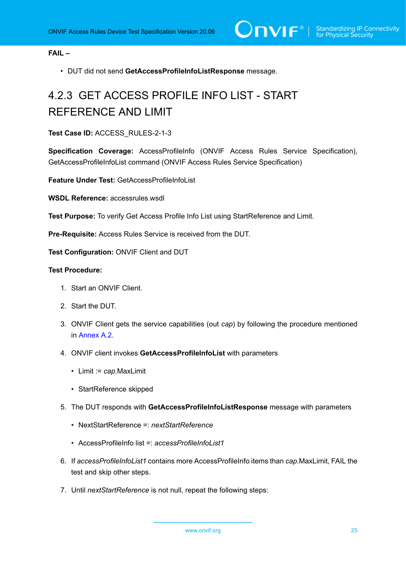#### **FAIL –**

• DUT did not send **GetAccessProfileInfoListResponse** message.

## <span id="page-24-0"></span>4.2.3 GET ACCESS PROFILE INFO LIST - START REFERENCE AND LIMIT

#### **Test Case ID:** ACCESS\_RULES-2-1-3

**Specification Coverage:** AccessProfileInfo (ONVIF Access Rules Service Specification), GetAccessProfileInfoList command (ONVIF Access Rules Service Specification)

**Feature Under Test:** GetAccessProfileInfoList

**WSDL Reference:** accessrules.wsdl

**Test Purpose:** To verify Get Access Profile Info List using StartReference and Limit.

**Pre-Requisite:** Access Rules Service is received from the DUT.

**Test Configuration:** ONVIF Client and DUT

- 1. Start an ONVIF Client.
- 2. Start the DUT.
- 3. ONVIF Client gets the service capabilities (out *cap*) by following the procedure mentioned in [Annex A.2.](#page-77-0)
- 4. ONVIF client invokes **GetAccessProfileInfoList** with parameters
	- Limit := *cap*.MaxLimit
	- StartReference skipped
- 5. The DUT responds with **GetAccessProfileInfoListResponse** message with parameters
	- NextStartReference =: *nextStartReference*
	- AccessProfileInfo list =: *accessProfileInfoList1*
- 6. If *accessProfileInfoList1* contains more AccessProfileInfo items than *cap*.MaxLimit, FAIL the test and skip other steps.
- 7. Until *nextStartReference* is not null, repeat the following steps: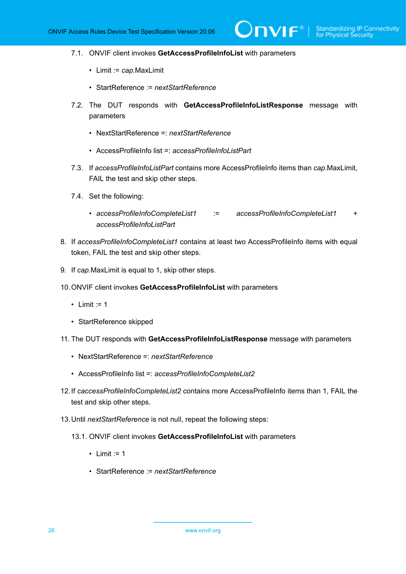- 7.1. ONVIF client invokes **GetAccessProfileInfoList** with parameters
	- Limit := *cap*.MaxLimit
	- StartReference := *nextStartReference*
- 7.2. The DUT responds with **GetAccessProfileInfoListResponse** message with parameters
	- NextStartReference =: *nextStartReference*
	- AccessProfileInfo list =: *accessProfileInfoListPart*
- 7.3. If *accessProfileInfoListPart* contains more AccessProfileInfo items than *cap*.MaxLimit, FAIL the test and skip other steps.
- 7.4. Set the following:
	- *accessProfileInfoCompleteList1* := *accessProfileInfoCompleteList1* + *accessProfileInfoListPart*
- 8. If *accessProfileInfoCompleteList1* contains at least two AccessProfileInfo items with equal token, FAIL the test and skip other steps.
- 9. If *cap*.MaxLimit is equal to 1, skip other steps.
- 10.ONVIF client invokes **GetAccessProfileInfoList** with parameters
	- $\cdot$  limit := 1
	- StartReference skipped
- 11. The DUT responds with **GetAccessProfileInfoListResponse** message with parameters
	- NextStartReference =: *nextStartReference*
	- AccessProfileInfo list =: *accessProfileInfoCompleteList2*
- 12.If *caccessProfileInfoCompleteList2* contains more AccessProfileInfo items than 1, FAIL the test and skip other steps.
- 13.Until *nextStartReference* is not null, repeat the following steps:
	- 13.1. ONVIF client invokes **GetAccessProfileInfoList** with parameters
		- $\bullet$  limit := 1
		- StartReference := *nextStartReference*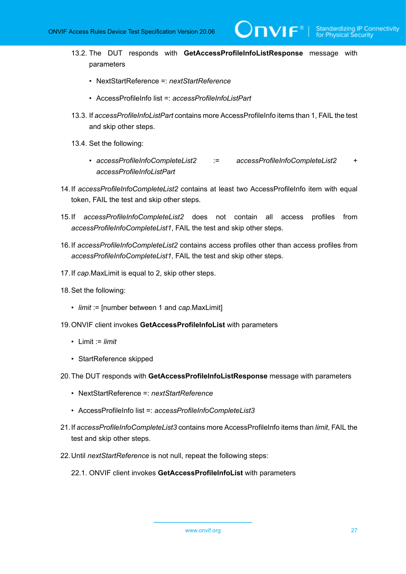- 13.2. The DUT responds with **GetAccessProfileInfoListResponse** message with parameters
	- NextStartReference =: *nextStartReference*
	- AccessProfileInfo list =: *accessProfileInfoListPart*
- 13.3. If *accessProfileInfoListPart* contains more AccessProfileInfo items than 1, FAIL the test and skip other steps.
- 13.4. Set the following:
	- *accessProfileInfoCompleteList2* := *accessProfileInfoCompleteList2* + *accessProfileInfoListPart*
- 14.If *accessProfileInfoCompleteList2* contains at least two AccessProfileInfo item with equal token, FAIL the test and skip other steps.
- 15.If *accessProfileInfoCompleteList2* does not contain all access profiles from *accessProfileInfoCompleteList1*, FAIL the test and skip other steps.
- 16.If *accessProfileInfoCompleteList2* contains access profiles other than access profiles from *accessProfileInfoCompleteList1*, FAIL the test and skip other steps.
- 17.If *cap*.MaxLimit is equal to 2, skip other steps.
- 18.Set the following:
	- *limit* := [number between 1 and *cap*.MaxLimit]
- 19.ONVIF client invokes **GetAccessProfileInfoList** with parameters
	- Limit := *limit*
	- StartReference skipped
- 20.The DUT responds with **GetAccessProfileInfoListResponse** message with parameters
	- NextStartReference =: *nextStartReference*
	- AccessProfileInfo list =: *accessProfileInfoCompleteList3*
- 21.If *accessProfileInfoCompleteList3* contains more AccessProfileInfo items than *limit*, FAIL the test and skip other steps.
- 22.Until *nextStartReference* is not null, repeat the following steps:
	- 22.1. ONVIF client invokes **GetAccessProfileInfoList** with parameters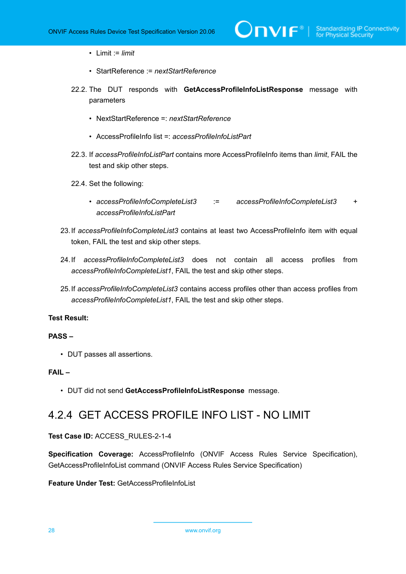- Limit := *limit*
- StartReference := *nextStartReference*
- 22.2. The DUT responds with **GetAccessProfileInfoListResponse** message with parameters
	- NextStartReference =: *nextStartReference*
	- AccessProfileInfo list =: *accessProfileInfoListPart*
- 22.3. If *accessProfileInfoListPart* contains more AccessProfileInfo items than *limit*, FAIL the test and skip other steps.
- 22.4. Set the following:
	- *accessProfileInfoCompleteList3* := *accessProfileInfoCompleteList3* + *accessProfileInfoListPart*
- 23.If *accessProfileInfoCompleteList3* contains at least two AccessProfileInfo item with equal token, FAIL the test and skip other steps.
- 24.If *accessProfileInfoCompleteList3* does not contain all access profiles from *accessProfileInfoCompleteList1*, FAIL the test and skip other steps.
- 25.If *accessProfileInfoCompleteList3* contains access profiles other than access profiles from *accessProfileInfoCompleteList1*, FAIL the test and skip other steps.

#### **Test Result:**

#### **PASS –**

• DUT passes all assertions.

#### **FAIL –**

• DUT did not send **GetAccessProfileInfoListResponse** message.

### <span id="page-27-0"></span>4.2.4 GET ACCESS PROFILE INFO LIST - NO LIMIT

#### **Test Case ID:** ACCESS\_RULES-2-1-4

Specification Coverage: AccessProfileInfo (ONVIF Access Rules Service Specification), GetAccessProfileInfoList command (ONVIF Access Rules Service Specification)

#### **Feature Under Test:** GetAccessProfileInfoList

28 www.onvif.org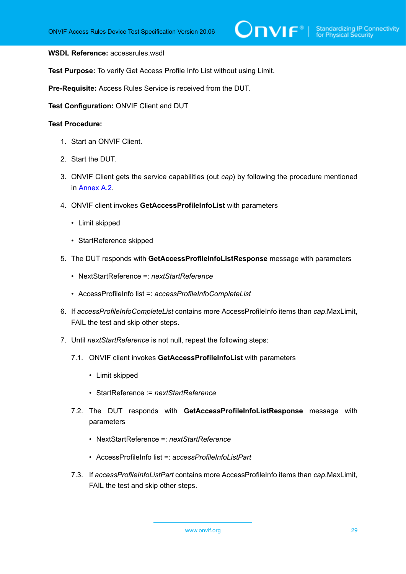#### **WSDL Reference:** accessrules.wsdl

**Test Purpose:** To verify Get Access Profile Info List without using Limit.

**Pre-Requisite:** Access Rules Service is received from the DUT.

**Test Configuration:** ONVIF Client and DUT

- 1. Start an ONVIF Client.
- 2. Start the DUT.
- 3. ONVIF Client gets the service capabilities (out *cap*) by following the procedure mentioned in [Annex A.2.](#page-77-0)
- 4. ONVIF client invokes **GetAccessProfileInfoList** with parameters
	- Limit skipped
	- StartReference skipped
- 5. The DUT responds with **GetAccessProfileInfoListResponse** message with parameters
	- NextStartReference =: *nextStartReference*
	- AccessProfileInfo list =: *accessProfileInfoCompleteList*
- 6. If *accessProfileInfoCompleteList* contains more AccessProfileInfo items than *cap*.MaxLimit, FAIL the test and skip other steps.
- 7. Until *nextStartReference* is not null, repeat the following steps:
	- 7.1. ONVIF client invokes **GetAccessProfileInfoList** with parameters
		- Limit skipped
		- StartReference := *nextStartReference*
	- 7.2. The DUT responds with **GetAccessProfileInfoListResponse** message with parameters
		- NextStartReference =: *nextStartReference*
		- AccessProfileInfo list =: *accessProfileInfoListPart*
	- 7.3. If *accessProfileInfoListPart* contains more AccessProfileInfo items than *cap*.MaxLimit, FAIL the test and skip other steps.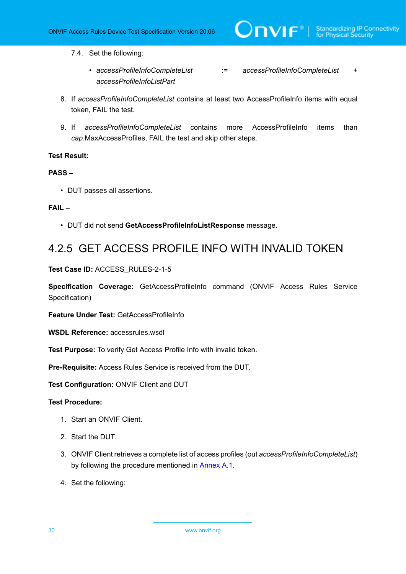#### 7.4. Set the following:

- *accessProfileInfoCompleteList* := *accessProfileInfoCompleteList* + *accessProfileInfoListPart*
- 8. If *accessProfileInfoCompleteList* contains at least two AccessProfileInfo items with equal token, FAIL the test.
- 9. If *accessProfileInfoCompleteList* contains more AccessProfileInfo items than *cap*.MaxAccessProfiles, FAIL the test and skip other steps.

#### **Test Result:**

#### **PASS –**

• DUT passes all assertions.

#### **FAIL –**

• DUT did not send **GetAccessProfileInfoListResponse** message.

### <span id="page-29-0"></span>4.2.5 GET ACCESS PROFILE INFO WITH INVALID TOKEN

#### **Test Case ID:** ACCESS\_RULES-2-1-5

**Specification Coverage:** GetAccessProfileInfo command (ONVIF Access Rules Service Specification)

**Feature Under Test:** GetAccessProfileInfo

**WSDL Reference:** accessrules.wsdl

**Test Purpose:** To verify Get Access Profile Info with invalid token.

**Pre-Requisite:** Access Rules Service is received from the DUT.

**Test Configuration:** ONVIF Client and DUT

- 1. Start an ONVIF Client.
- 2. Start the DUT.
- 3. ONVIF Client retrieves a complete list of access profiles (out *accessProfileInfoCompleteList*) by following the procedure mentioned in [Annex A.1](#page-76-1).
- 4. Set the following: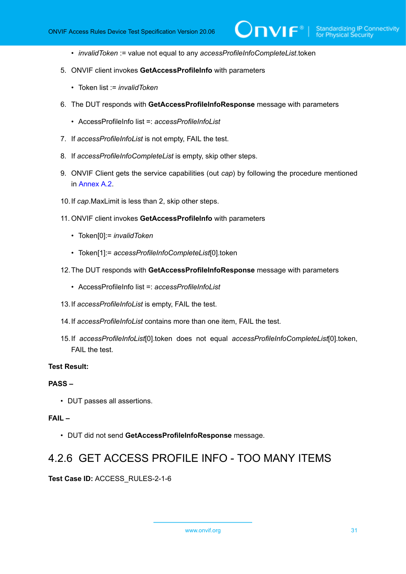- *invalidToken* := value not equal to any *accessProfileInfoCompleteList*.token
- 5. ONVIF client invokes **GetAccessProfileInfo** with parameters
	- Token list := *invalidToken*
- 6. The DUT responds with **GetAccessProfileInfoResponse** message with parameters
	- AccessProfileInfo list =: *accessProfileInfoList*
- 7. If *accessProfileInfoList* is not empty, FAIL the test.
- 8. If *accessProfileInfoCompleteList* is empty, skip other steps.
- 9. ONVIF Client gets the service capabilities (out *cap*) by following the procedure mentioned in Annex A 2
- 10.If *cap*.MaxLimit is less than 2, skip other steps.
- 11. ONVIF client invokes **GetAccessProfileInfo** with parameters
	- Token[0]:= *invalidToken*
	- Token[1]:= *accessProfileInfoCompleteList*[0].token
- 12.The DUT responds with **GetAccessProfileInfoResponse** message with parameters
	- AccessProfileInfo list =: *accessProfileInfoList*
- 13.If *accessProfileInfoList* is empty, FAIL the test.
- 14.If *accessProfileInfoList* contains more than one item, FAIL the test.
- 15.If *accessProfileInfoList*[0].token does not equal *accessProfileInfoCompleteList*[0].token, FAIL the test.

#### **Test Result:**

#### **PASS –**

• DUT passes all assertions.

#### **FAIL –**

• DUT did not send **GetAccessProfileInfoResponse** message.

### <span id="page-30-0"></span>4.2.6 GET ACCESS PROFILE INFO - TOO MANY ITEMS

**Test Case ID:** ACCESS\_RULES-2-1-6

www.onvif.org 31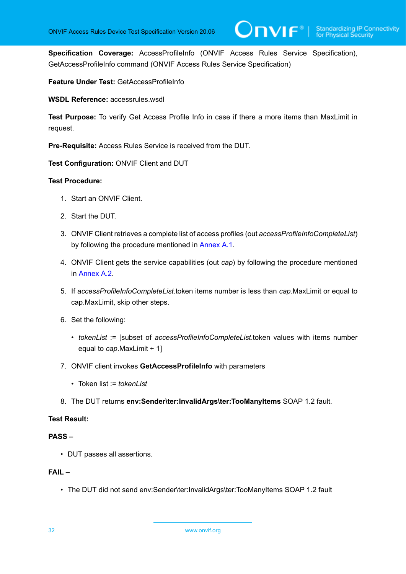**Specification Coverage:** AccessProfileInfo (ONVIF Access Rules Service Specification), GetAccessProfileInfo command (ONVIF Access Rules Service Specification)

#### **Feature Under Test:** GetAccessProfileInfo

**WSDL Reference:** accessrules.wsdl

**Test Purpose:** To verify Get Access Profile Info in case if there a more items than MaxLimit in request.

**Pre-Requisite:** Access Rules Service is received from the DUT.

**Test Configuration:** ONVIF Client and DUT

#### **Test Procedure:**

- 1. Start an ONVIF Client.
- 2. Start the DUT.
- 3. ONVIF Client retrieves a complete list of access profiles (out *accessProfileInfoCompleteList*) by following the procedure mentioned in [Annex A.1](#page-76-1).
- 4. ONVIF Client gets the service capabilities (out *cap*) by following the procedure mentioned in Annex A 2
- 5. If *accessProfileInfoCompleteList*.token items number is less than *cap*.MaxLimit or equal to cap.MaxLimit, skip other steps.
- 6. Set the following:
	- *tokenList* := [subset of *accessProfileInfoCompleteList*.token values with items number equal to *cap*.MaxLimit + 1]
- 7. ONVIF client invokes **GetAccessProfileInfo** with parameters
	- Token list := *tokenList*
- 8. The DUT returns **env:Sender\ter:InvalidArgs\ter:TooManyItems** SOAP 1.2 fault.

#### **Test Result:**

#### **PASS –**

• DUT passes all assertions.

#### **FAIL –**

• The DUT did not send env:Sender\ter:InvalidArgs\ter:TooManyItems SOAP 1.2 fault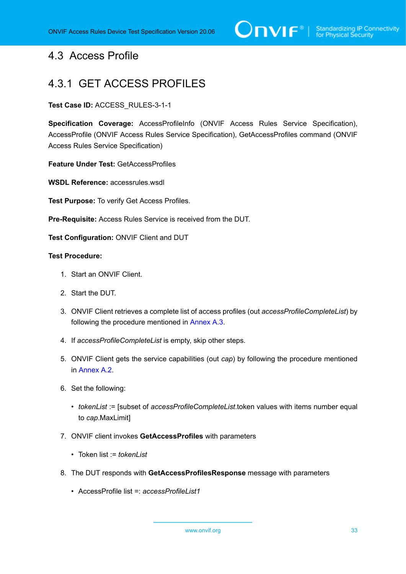# $\bigcirc$   $\bigcap$   $\bigvee$   $\bigcirc$   $\bigcirc$   $\bigcirc$   $\bigcirc$  Standardizing IP Connectivity

### <span id="page-32-0"></span>4.3 Access Profile

### <span id="page-32-1"></span>4.3.1 GET ACCESS PROFILES

**Test Case ID:** ACCESS\_RULES-3-1-1

**Specification Coverage:** AccessProfileInfo (ONVIF Access Rules Service Specification), AccessProfile (ONVIF Access Rules Service Specification), GetAccessProfiles command (ONVIF Access Rules Service Specification)

**Feature Under Test:** GetAccessProfiles

**WSDL Reference:** accessrules.wsdl

**Test Purpose:** To verify Get Access Profiles.

**Pre-Requisite:** Access Rules Service is received from the DUT.

**Test Configuration:** ONVIF Client and DUT

- 1. Start an ONVIF Client.
- 2. Start the DUT.
- 3. ONVIF Client retrieves a complete list of access profiles (out *accessProfileCompleteList*) by following the procedure mentioned in [Annex A.3](#page-77-1).
- 4. If *accessProfileCompleteList* is empty, skip other steps.
- 5. ONVIF Client gets the service capabilities (out *cap*) by following the procedure mentioned in [Annex A.2.](#page-77-0)
- <span id="page-32-2"></span>6. Set the following:
	- *tokenList* := [subset of *accessProfileCompleteList*.token values with items number equal to *cap*.MaxLimit]
- 7. ONVIF client invokes **GetAccessProfiles** with parameters
	- Token list := *tokenList*
- 8. The DUT responds with **GetAccessProfilesResponse** message with parameters
	- AccessProfile list =: *accessProfileList1*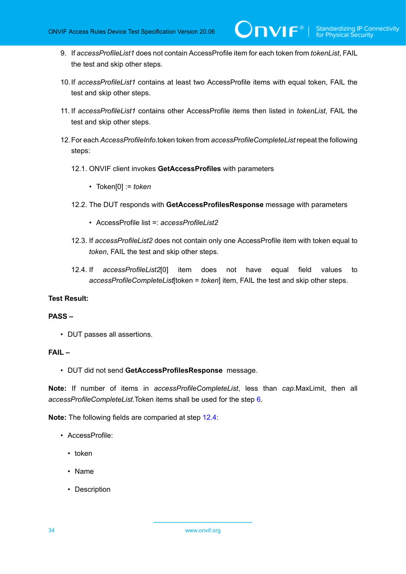9. If *accessProfileList1* does not contain AccessProfile item for each token from *tokenList*, FAIL the test and skip other steps.

 $\mathsf{D}\mathbf{N}\mathsf{I}\mathsf{F}^\ast$ l

- 10.If *accessProfileList1* contains at least two AccessProfile items with equal token, FAIL the test and skip other steps.
- 11. If *accessProfileList1* contains other AccessProfile items then listed in *tokenList*, FAIL the test and skip other steps.
- 12.For each *AccessProfileInfo*.token token from *accessProfileCompleteList* repeat the following steps:
	- 12.1. ONVIF client invokes **GetAccessProfiles** with parameters
		- Token[0] := *token*
	- 12.2. The DUT responds with **GetAccessProfilesResponse** message with parameters
		- AccessProfile list =: *accessProfileList2*
	- 12.3. If *accessProfileList2* does not contain only one AccessProfile item with token equal to *token*, FAIL the test and skip other steps.
	- 12.4. If *accessProfileList2*[0] item does not have equal field values to *accessProfileCompleteList*[token = *token*] item, FAIL the test and skip other steps.

#### <span id="page-33-0"></span>**Test Result:**

#### **PASS –**

• DUT passes all assertions.

#### **FAIL –**

• DUT did not send **GetAccessProfilesResponse** message.

**Note:** If number of items in *accessProfileCompleteList*, less than *cap*.MaxLimit, then all *accessProfileCompleteList*.Token items shall be used for the step [6](#page-32-2).

**Note:** The following fields are comparied at step [12.4:](#page-33-0)

- AccessProfile:
	- token
	- Name
	- Description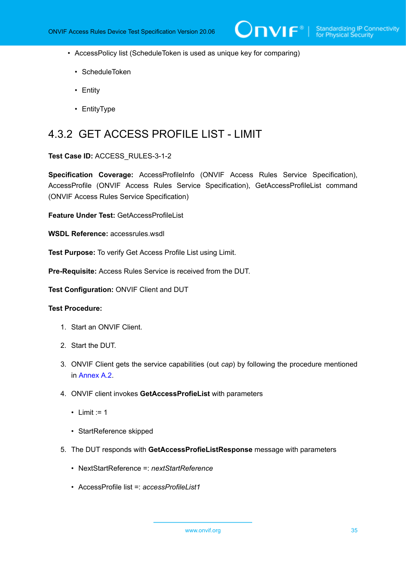• AccessPolicy list (ScheduleToken is used as unique key for comparing)

- ScheduleToken
- Entity
- EntityType

### <span id="page-34-0"></span>4.3.2 GET ACCESS PROFILE LIST - LIMIT

#### **Test Case ID:** ACCESS\_RULES-3-1-2

Specification Coverage: AccessProfileInfo (ONVIF Access Rules Service Specification), AccessProfile (ONVIF Access Rules Service Specification), GetAccessProfileList command (ONVIF Access Rules Service Specification)

**Feature Under Test: GetAccessProfileList** 

**WSDL Reference:** accessrules.wsdl

**Test Purpose:** To verify Get Access Profile List using Limit.

**Pre-Requisite:** Access Rules Service is received from the DUT.

**Test Configuration:** ONVIF Client and DUT

- 1. Start an ONVIF Client.
- 2. Start the DUT.
- 3. ONVIF Client gets the service capabilities (out *cap*) by following the procedure mentioned in [Annex A.2.](#page-77-0)
- 4. ONVIF client invokes **GetAccessProfieList** with parameters
	- Limit  $:= 1$
	- StartReference skipped
- 5. The DUT responds with **GetAccessProfieListResponse** message with parameters
	- NextStartReference =: *nextStartReference*
	- AccessProfile list =: *accessProfileList1*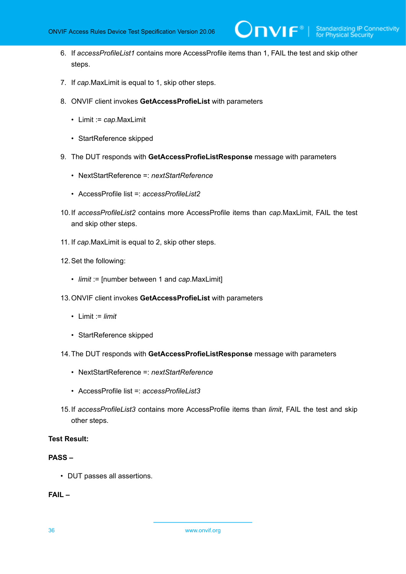6. If *accessProfileList1* contains more AccessProfile items than 1, FAIL the test and skip other steps.

 $\mathsf{D}\mathbf{N}\mathsf{I}\mathsf{F}^\ast$ l

- 7. If *cap*.MaxLimit is equal to 1, skip other steps.
- 8. ONVIF client invokes **GetAccessProfieList** with parameters
	- Limit := *cap*.MaxLimit
	- StartReference skipped
- 9. The DUT responds with **GetAccessProfieListResponse** message with parameters
	- NextStartReference =: *nextStartReference*
	- AccessProfile list =: *accessProfileList2*
- 10.If *accessProfileList2* contains more AccessProfile items than *cap*.MaxLimit, FAIL the test and skip other steps.
- 11. If *cap*.MaxLimit is equal to 2, skip other steps.
- 12.Set the following:
	- *limit* := [number between 1 and *cap*.MaxLimit]
- 13.ONVIF client invokes **GetAccessProfieList** with parameters
	- Limit := *limit*
	- StartReference skipped
- 14.The DUT responds with **GetAccessProfieListResponse** message with parameters
	- NextStartReference =: *nextStartReference*
	- AccessProfile list =: *accessProfileList3*
- 15.If *accessProfileList3* contains more AccessProfile items than *limit*, FAIL the test and skip other steps.

#### **Test Result:**

#### **PASS –**

• DUT passes all assertions.

**FAIL –**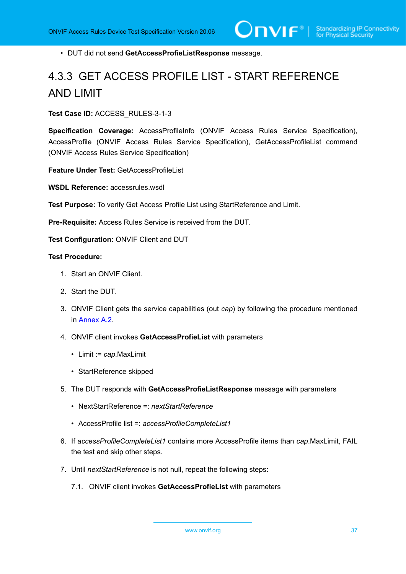• DUT did not send **GetAccessProfieListResponse** message.

# 4.3.3 GET ACCESS PROFILE LIST - START REFERENCE AND LIMIT

**Test Case ID:** ACCESS\_RULES-3-1-3

**Specification Coverage:** AccessProfileInfo (ONVIF Access Rules Service Specification), AccessProfile (ONVIF Access Rules Service Specification), GetAccessProfileList command (ONVIF Access Rules Service Specification)

**Feature Under Test:** GetAccessProfileList

**WSDL Reference:** accessrules.wsdl

**Test Purpose:** To verify Get Access Profile List using StartReference and Limit.

**Pre-Requisite:** Access Rules Service is received from the DUT.

**Test Configuration:** ONVIF Client and DUT

- 1. Start an ONVIF Client.
- 2. Start the DUT.
- 3. ONVIF Client gets the service capabilities (out *cap*) by following the procedure mentioned in [Annex A.2.](#page-77-0)
- 4. ONVIF client invokes **GetAccessProfieList** with parameters
	- Limit := *cap*.MaxLimit
	- StartReference skipped
- 5. The DUT responds with **GetAccessProfieListResponse** message with parameters
	- NextStartReference =: *nextStartReference*
	- AccessProfile list =: *accessProfileCompleteList1*
- 6. If *accessProfileCompleteList1* contains more AccessProfile items than *cap*.MaxLimit, FAIL the test and skip other steps.
- 7. Until *nextStartReference* is not null, repeat the following steps:
	- 7.1. ONVIF client invokes **GetAccessProfieList** with parameters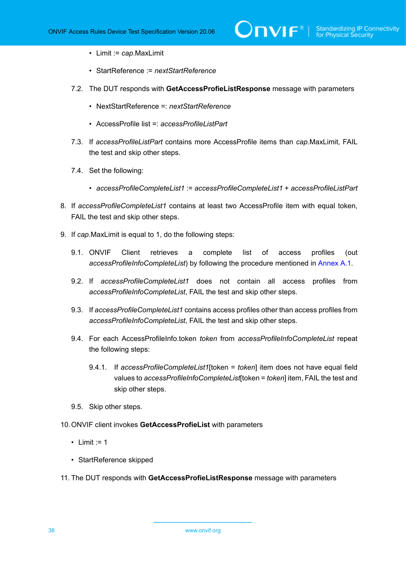- Limit := *cap*.MaxLimit
- StartReference := *nextStartReference*
- 7.2. The DUT responds with **GetAccessProfieListResponse** message with parameters
	- NextStartReference =: *nextStartReference*
	- AccessProfile list =: *accessProfileListPart*
- 7.3. If *accessProfileListPart* contains more AccessProfile items than *cap*.MaxLimit, FAIL the test and skip other steps.
- 7.4. Set the following:
	- *accessProfileCompleteList1* := *accessProfileCompleteList1* + *accessProfileListPart*
- 8. If *accessProfileCompleteList1* contains at least two AccessProfile item with equal token, FAIL the test and skip other steps.
- 9. If *cap*.MaxLimit is equal to 1, do the following steps:
	- 9.1. ONVIF Client retrieves a complete list of access profiles (out *accessProfileInfoCompleteList*) by following the procedure mentioned in [Annex A.1](#page-76-0).
	- 9.2. If *accessProfileCompleteList1* does not contain all access profiles from *accessProfileInfoCompleteList*, FAIL the test and skip other steps.
	- 9.3. If *accessProfileCompleteList1* contains access profiles other than access profiles from *accessProfileInfoCompleteList*, FAIL the test and skip other steps.
	- 9.4. For each AccessProfileInfo.token *token* from *accessProfileInfoCompleteList* repeat the following steps:
		- 9.4.1. If *accessProfileCompleteList1*[token = *token*] item does not have equal field values to *accessProfileInfoCompleteList*[token = *token*] item, FAIL the test and skip other steps.
	- 9.5. Skip other steps.
- 10.ONVIF client invokes **GetAccessProfieList** with parameters
	- Limit  $:= 1$
	- StartReference skipped
- 11. The DUT responds with **GetAccessProfieListResponse** message with parameters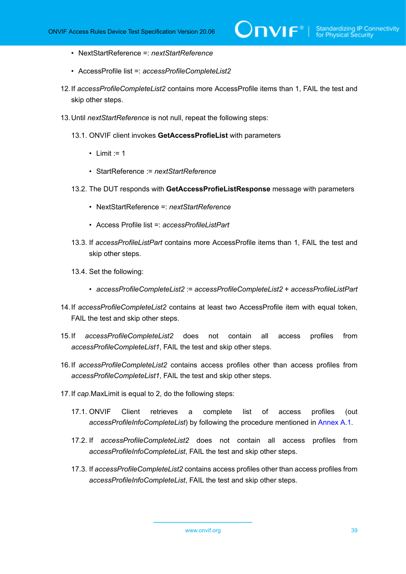- NextStartReference =: *nextStartReference*
- AccessProfile list =: *accessProfileCompleteList2*
- 12.If *accessProfileCompleteList2* contains more AccessProfile items than 1, FAIL the test and skip other steps.
- 13.Until *nextStartReference* is not null, repeat the following steps:
	- 13.1. ONVIF client invokes **GetAccessProfieList** with parameters
		- Limit  $:= 1$
		- StartReference := *nextStartReference*
	- 13.2. The DUT responds with **GetAccessProfieListResponse** message with parameters
		- NextStartReference =: *nextStartReference*
		- Access Profile list =: *accessProfileListPart*
	- 13.3. If *accessProfileListPart* contains more AccessProfile items than 1, FAIL the test and skip other steps.
	- 13.4. Set the following:
		- *accessProfileCompleteList2* := *accessProfileCompleteList2* + *accessProfileListPart*
- 14.If *accessProfileCompleteList2* contains at least two AccessProfile item with equal token, FAIL the test and skip other steps.
- 15.If *accessProfileCompleteList2* does not contain all access profiles from *accessProfileCompleteList1*, FAIL the test and skip other steps.
- 16.If *accessProfileCompleteList2* contains access profiles other than access profiles from *accessProfileCompleteList1*, FAIL the test and skip other steps.
- 17.If *cap*.MaxLimit is equal to 2, do the following steps:
	- 17.1. ONVIF Client retrieves a complete list of access profiles (out *accessProfileInfoCompleteList*) by following the procedure mentioned in [Annex A.1](#page-76-0).
	- 17.2. If *accessProfileCompleteList2* does not contain all access profiles from *accessProfileInfoCompleteList*, FAIL the test and skip other steps.
	- 17.3. If *accessProfileCompleteList2* contains access profiles other than access profiles from *accessProfileInfoCompleteList*, FAIL the test and skip other steps.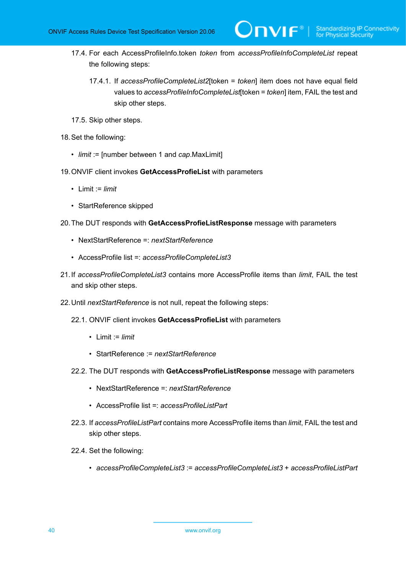- 17.4. For each AccessProfileInfo.token *token* from *accessProfileInfoCompleteList* repeat the following steps:
	- 17.4.1. If *accessProfileCompleteList2*[token = *token*] item does not have equal field values to *accessProfileInfoCompleteList*[token = *token*] item, FAIL the test and skip other steps.

 $\partial$ DVIF $^{\circ}$ l

- 17.5. Skip other steps.
- 18.Set the following:
	- *limit* := [number between 1 and *cap*.MaxLimit]
- 19.ONVIF client invokes **GetAccessProfieList** with parameters
	- Limit := *limit*
	- StartReference skipped
- 20.The DUT responds with **GetAccessProfieListResponse** message with parameters
	- NextStartReference =: *nextStartReference*
	- AccessProfile list =: *accessProfileCompleteList3*
- 21.If *accessProfileCompleteList3* contains more AccessProfile items than *limit*, FAIL the test and skip other steps.
- 22.Until *nextStartReference* is not null, repeat the following steps:
	- 22.1. ONVIF client invokes **GetAccessProfieList** with parameters
		- Limit := *limit*
		- StartReference := *nextStartReference*
	- 22.2. The DUT responds with **GetAccessProfieListResponse** message with parameters
		- NextStartReference =: *nextStartReference*
		- AccessProfile list =: *accessProfileListPart*
	- 22.3. If *accessProfileListPart* contains more AccessProfile items than *limit*, FAIL the test and skip other steps.
	- 22.4. Set the following:
		- *accessProfileCompleteList3* := *accessProfileCompleteList3* + *accessProfileListPart*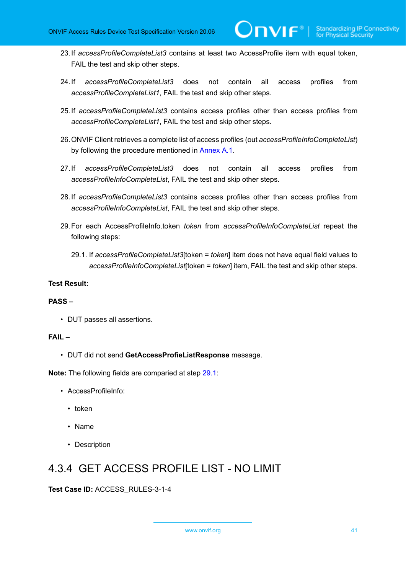23.If *accessProfileCompleteList3* contains at least two AccessProfile item with equal token, FAIL the test and skip other steps.

 $\mathsf{D}\mathbf{N}\mathsf{I}\mathsf{F}^\ast$ l

- 24.If *accessProfileCompleteList3* does not contain all access profiles from *accessProfileCompleteList1*, FAIL the test and skip other steps.
- 25.If *accessProfileCompleteList3* contains access profiles other than access profiles from *accessProfileCompleteList1*, FAIL the test and skip other steps.
- 26.ONVIF Client retrieves a complete list of access profiles (out *accessProfileInfoCompleteList*) by following the procedure mentioned in [Annex A.1](#page-76-0).
- 27.If *accessProfileCompleteList3* does not contain all access profiles from *accessProfileInfoCompleteList*, FAIL the test and skip other steps.
- 28.If *accessProfileCompleteList3* contains access profiles other than access profiles from *accessProfileInfoCompleteList*, FAIL the test and skip other steps.
- <span id="page-40-0"></span>29.For each AccessProfileInfo.token *token* from *accessProfileInfoCompleteList* repeat the following steps:
	- 29.1. If *accessProfileCompleteList3*[token = *token*] item does not have equal field values to *accessProfileInfoCompleteList*[token = *token*] item, FAIL the test and skip other steps.

# **Test Result:**

# **PASS –**

• DUT passes all assertions.

# **FAIL –**

• DUT did not send **GetAccessProfieListResponse** message.

**Note:** The following fields are comparied at step [29.1:](#page-40-0)

- AccessProfileInfo:
	- token
	- Name
	- Description

# 4.3.4 GET ACCESS PROFILE LIST - NO LIMIT

**Test Case ID:** ACCESS\_RULES-3-1-4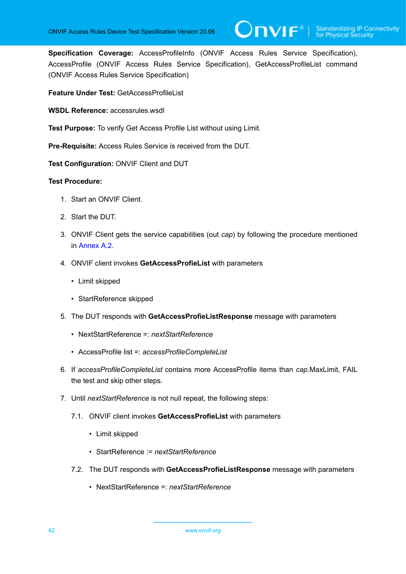Specification Coverage: AccessProfileInfo (ONVIF Access Rules Service Specification), AccessProfile (ONVIF Access Rules Service Specification), GetAccessProfileList command (ONVIF Access Rules Service Specification)

**Feature Under Test:** GetAccessProfileList

**WSDL Reference:** accessrules.wsdl

**Test Purpose:** To verify Get Access Profile List without using Limit.

**Pre-Requisite:** Access Rules Service is received from the DUT.

**Test Configuration:** ONVIF Client and DUT

- 1. Start an ONVIF Client.
- 2. Start the DUT.
- 3. ONVIF Client gets the service capabilities (out *cap*) by following the procedure mentioned in [Annex A.2.](#page-77-0)
- 4. ONVIF client invokes **GetAccessProfieList** with parameters
	- Limit skipped
	- StartReference skipped
- 5. The DUT responds with **GetAccessProfieListResponse** message with parameters
	- NextStartReference =: *nextStartReference*
	- AccessProfile list =: *accessProfileCompleteList*
- 6. If *accessProfileCompleteList* contains more AccessProfile items than *cap*.MaxLimit, FAIL the test and skip other steps.
- 7. Until *nextStartReference* is not null repeat, the following steps:
	- 7.1. ONVIF client invokes **GetAccessProfieList** with parameters
		- Limit skipped
		- StartReference := *nextStartReference*
	- 7.2. The DUT responds with **GetAccessProfieListResponse** message with parameters
		- NextStartReference =: *nextStartReference*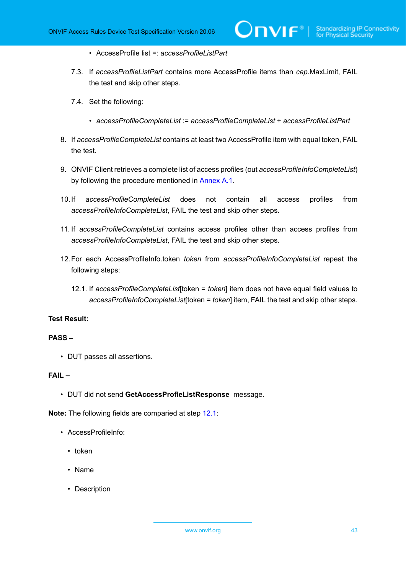- AccessProfile list =: *accessProfileListPart*
- 7.3. If *accessProfileListPart* contains more AccessProfile items than *cap*.MaxLimit, FAIL the test and skip other steps.

 $\mathsf{D}\mathbf{N}\mathsf{I}\mathsf{F}^\ast$ l

- 7.4. Set the following:
	- *accessProfileCompleteList* := *accessProfileCompleteList* + *accessProfileListPart*
- 8. If *accessProfileCompleteList* contains at least two AccessProfile item with equal token, FAIL the test.
- 9. ONVIF Client retrieves a complete list of access profiles (out *accessProfileInfoCompleteList*) by following the procedure mentioned in [Annex A.1](#page-76-0).
- 10.If *accessProfileCompleteList* does not contain all access profiles from *accessProfileInfoCompleteList*, FAIL the test and skip other steps.
- 11. If *accessProfileCompleteList* contains access profiles other than access profiles from *accessProfileInfoCompleteList*, FAIL the test and skip other steps.
- <span id="page-42-0"></span>12.For each AccessProfileInfo.token *token* from *accessProfileInfoCompleteList* repeat the following steps:
	- 12.1. If *accessProfileCompleteList*[token = *token*] item does not have equal field values to *accessProfileInfoCompleteList*[token = *token*] item, FAIL the test and skip other steps.

## **Test Result:**

#### **PASS –**

• DUT passes all assertions.

## **FAIL –**

• DUT did not send **GetAccessProfieListResponse** message.

**Note:** The following fields are comparied at step [12.1:](#page-42-0)

- AccessProfileInfo:
	- token
	- Name
	- Description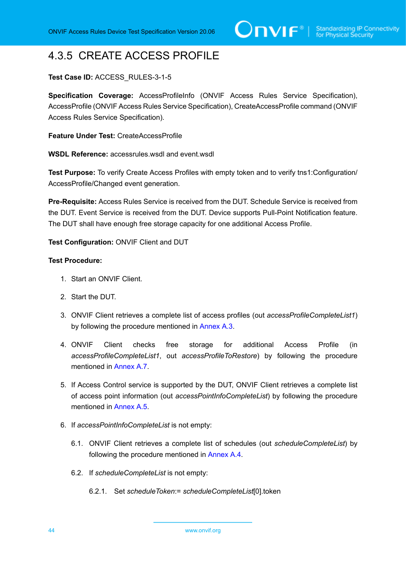# 4.3.5 CREATE ACCESS PROFILE

# **Test Case ID:** ACCESS\_RULES-3-1-5

Specification Coverage: AccessProfileInfo (ONVIF Access Rules Service Specification), AccessProfile (ONVIF Access Rules Service Specification), CreateAccessProfile command (ONVIF Access Rules Service Specification).

**Feature Under Test:** CreateAccessProfile

**WSDL Reference:** accessrules.wsdl and event.wsdl

**Test Purpose:** To verify Create Access Profiles with empty token and to verify tns1:Configuration/ AccessProfile/Changed event generation.

**Pre-Requisite:** Access Rules Service is received from the DUT. Schedule Service is received from the DUT. Event Service is received from the DUT. Device supports Pull-Point Notification feature. The DUT shall have enough free storage capacity for one additional Access Profile.

### **Test Configuration:** ONVIF Client and DUT

- 1. Start an ONVIF Client.
- 2. Start the DUT.
- 3. ONVIF Client retrieves a complete list of access profiles (out *accessProfileCompleteList1*) by following the procedure mentioned in [Annex A.3](#page-77-1).
- <span id="page-43-0"></span>4. ONVIF Client checks free storage for additional Access Profile (in *accessProfileCompleteList1*, out *accessProfileToRestore*) by following the procedure mentioned in [Annex A.7.](#page-81-0)
- 5. If Access Control service is supported by the DUT, ONVIF Client retrieves a complete list of access point information (out *accessPointInfoCompleteList*) by following the procedure mentioned in [Annex A.5.](#page-80-0)
- 6. If *accessPointInfoCompleteList* is not empty:
	- 6.1. ONVIF Client retrieves a complete list of schedules (out *scheduleCompleteList*) by following the procedure mentioned in [Annex A.4.](#page-78-0)
	- 6.2. If *scheduleCompleteList* is not empty:
		- 6.2.1. Set *scheduleToken*:= *scheduleCompleteList*[0].token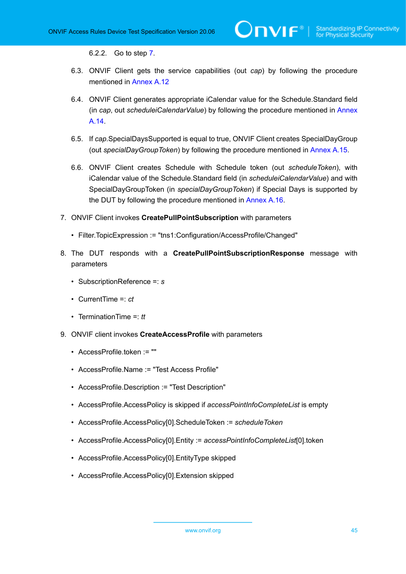6.2.2. Go to step [7.](#page-44-0)

- 6.3. ONVIF Client gets the service capabilities (out *cap*) by following the procedure mentioned in [Annex A.12](#page-85-0)
- 6.4. ONVIF Client generates appropriate iCalendar value for the Schedule.Standard field (in *cap*, out *scheduleiCalendarValue*) by following the procedure mentioned in [Annex](#page-86-0) [A.14](#page-86-0).
- <span id="page-44-2"></span>6.5. If *cap*.SpecialDaysSupported is equal to true, ONVIF Client creates SpecialDayGroup (out *specialDayGroupToken*) by following the procedure mentioned in [Annex A.15](#page-88-0).
- 6.6. ONVIF Client creates Schedule with Schedule token (out *scheduleToken*), with iCalendar value of the Schedule.Standard field (in *scheduleiCalendarValue*) and with SpecialDayGroupToken (in *specialDayGroupToken*) if Special Days is supported by the DUT by following the procedure mentioned in [Annex A.16](#page-89-0).
- <span id="page-44-0"></span>7. ONVIF Client invokes **CreatePullPointSubscription** with parameters
	- Filter.TopicExpression := "tns1:Configuration/AccessProfile/Changed"
- 8. The DUT responds with a **CreatePullPointSubscriptionResponse** message with parameters
	- SubscriptionReference =: *s*
	- CurrentTime =: *ct*
	- TerminationTime =: *tt*
- <span id="page-44-1"></span>9. ONVIF client invokes **CreateAccessProfile** with parameters
	- AccessProfile.token := ""
	- AccessProfile.Name := "Test Access Profile"
	- AccessProfile.Description := "Test Description"
	- AccessProfile.AccessPolicy is skipped if *accessPointInfoCompleteList* is empty
	- AccessProfile.AccessPolicy[0].ScheduleToken := *scheduleToken*
	- AccessProfile.AccessPolicy[0].Entity := *accessPointInfoCompleteList*[0].token
	- AccessProfile.AccessPolicy[0].EntityType skipped
	- AccessProfile.AccessPolicy[0].Extension skipped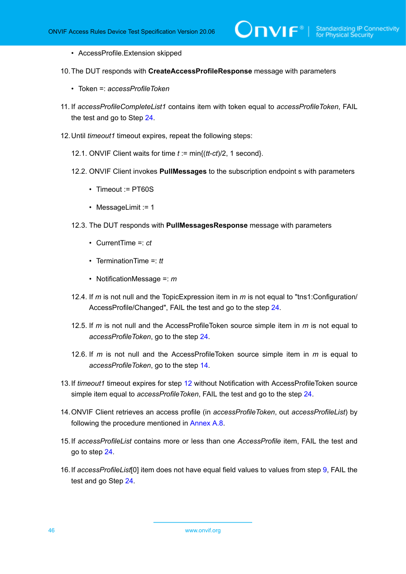- AccessProfile.Extension skipped
- 10.The DUT responds with **CreateAccessProfileResponse** message with parameters
	- Token =: *accessProfileToken*
- 11. If *accessProfileCompleteList1* contains item with token equal to *accessProfileToken*, FAIL the test and go to Step [24.](#page-46-0)
- <span id="page-45-1"></span>12.Until *timeout1* timeout expires, repeat the following steps:
	- 12.1. ONVIF Client waits for time *t* := min{(*tt*-*ct*)/2, 1 second}.
	- 12.2. ONVIF Client invokes **PullMessages** to the subscription endpoint s with parameters
		- Timeout := PT60S
		- MessageLimit := 1
	- 12.3. The DUT responds with **PullMessagesResponse** message with parameters
		- CurrentTime =: *ct*
		- TerminationTime =: *tt*
		- NotificationMessage =: *m*
	- 12.4. If *m* is not null and the TopicExpression item in *m* is not equal to "tns1:Configuration/ AccessProfile/Changed", FAIL the test and go to the step [24.](#page-46-0)
	- 12.5. If *m* is not null and the AccessProfileToken source simple item in *m* is not equal to *accessProfileToken*, go to the step [24](#page-46-0).
	- 12.6. If *m* is not null and the AccessProfileToken source simple item in *m* is equal to *accessProfileToken*, go to the step [14](#page-45-0).
- 13.If *timeout1* timeout expires for step [12](#page-45-1) without Notification with AccessProfileToken source simple item equal to *accessProfileToken*, FAIL the test and go to the step [24](#page-46-0).
- <span id="page-45-0"></span>14.ONVIF Client retrieves an access profile (in *accessProfileToken*, out *accessProfileList*) by following the procedure mentioned in [Annex A.8](#page-82-0).
- <span id="page-45-2"></span>15.If *accessProfileList* contains more or less than one *AccessProfile* item, FAIL the test and go to step [24](#page-46-0).
- 16.If *accessProfileList*[0] item does not have equal field values to values from step [9,](#page-44-1) FAIL the test and go Step [24](#page-46-0).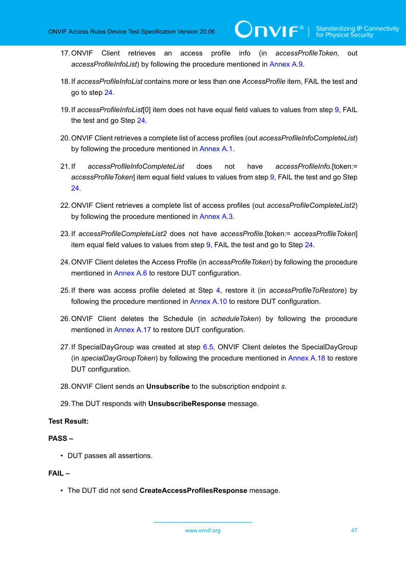$IVIF^*$ 

- <span id="page-46-2"></span>17.ONVIF Client retrieves an access profile info (in *accessProfileToken*, out *accessProfileInfoList*) by following the procedure mentioned in [Annex A.9.](#page-83-0)
- 18.If *accessProfileInfoList* contains more or less than one *AccessProfile* item, FAIL the test and go to step [24](#page-46-0).
- <span id="page-46-3"></span>19.If *accessProfileInfoList*[0] item does not have equal field values to values from step [9](#page-44-1), FAIL the test and go Step [24.](#page-46-0)
- 20.ONVIF Client retrieves a complete list of access profiles (out *accessProfileInfoCompleteList*) by following the procedure mentioned in [Annex A.1](#page-76-0).
- <span id="page-46-1"></span>21.If *accessProfileInfoCompleteList* does not have *accessProfileInfo*.[token:= *accessProfileToken*] item equal field values to values from step [9](#page-44-1), FAIL the test and go Step [24](#page-46-0).
- 22.ONVIF Client retrieves a complete list of access profiles (out *accessProfileCompleteList2*) by following the procedure mentioned in [Annex A.3](#page-77-1).
- 23.If *accessProfileCompleteList2* does not have *accessProfile*.[token:= *accessProfileToken*] item equal field values to values from step [9,](#page-44-1) FAIL the test and go to Step [24](#page-46-0).
- <span id="page-46-0"></span>24.ONVIF Client deletes the Access Profile (in *accessProfileToken*) by following the procedure mentioned in [Annex A.6](#page-81-1) to restore DUT configuration.
- 25.If there was access profile deleted at Step [4,](#page-43-0) restore it (in *accessProfileToRestore*) by following the procedure mentioned in [Annex A.10](#page-84-0) to restore DUT configuration.
- 26.ONVIF Client deletes the Schedule (in *scheduleToken*) by following the procedure mentioned in [Annex A.17](#page-90-0) to restore DUT configuration.
- 27. If SpecialDayGroup was created at step [6.5,](#page-44-2) ONVIF Client deletes the SpecialDayGroup (in *specialDayGroupToken*) by following the procedure mentioned in [Annex A.18](#page-91-0) to restore DUT configuration.
- 28.ONVIF Client sends an **Unsubscribe** to the subscription endpoint *s*.
- 29.The DUT responds with **UnsubscribeResponse** message.

# **Test Result:**

# **PASS –**

• DUT passes all assertions.

# **FAIL –**

• The DUT did not send **CreateAccessProfilesResponse** message.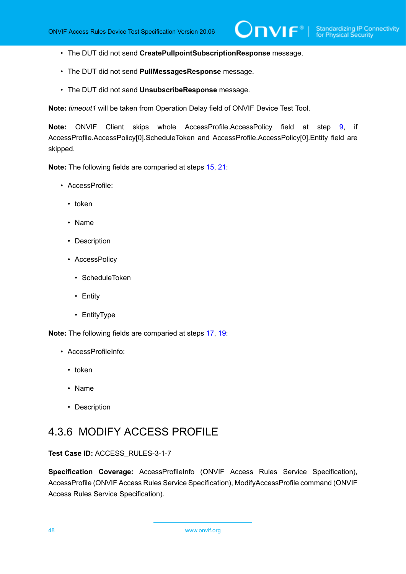- The DUT did not send **CreatePullpointSubscriptionResponse** message.
- The DUT did not send **PullMessagesResponse** message.
- The DUT did not send **UnsubscribeResponse** message.

**Note:** *timeout1* will be taken from Operation Delay field of ONVIF Device Test Tool.

**Note:** ONVIF Client skips whole AccessProfile.AccessPolicy field at step [9,](#page-44-1) if AccessProfile.AccessPolicy[0].ScheduleToken and AccessProfile.AccessPolicy[0].Entity field are skipped.

**Note:** The following fields are comparied at steps [15](#page-45-2), [21:](#page-46-1)

- AccessProfile:
	- token
	- Name
	- Description
	- AccessPolicy
		- ScheduleToken
		- Entity
		- EntityType

**Note:** The following fields are comparied at steps [17](#page-46-2), [19:](#page-46-3)

- AccessProfileInfo:
	- token
	- Name
	- Description

# 4.3.6 MODIFY ACCESS PROFILE

**Test Case ID:** ACCESS\_RULES-3-1-7

Specification Coverage: AccessProfileInfo (ONVIF Access Rules Service Specification), AccessProfile (ONVIF Access Rules Service Specification), ModifyAccessProfile command (ONVIF Access Rules Service Specification).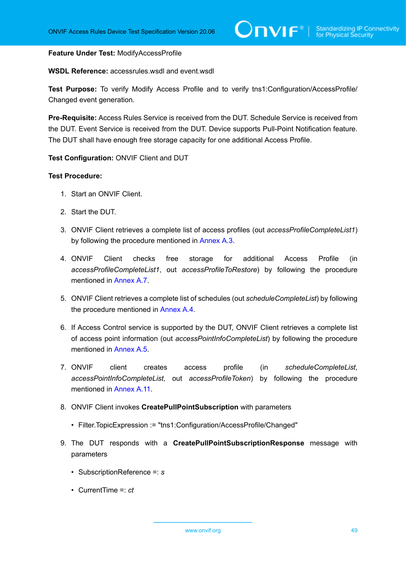#### **Feature Under Test:** ModifyAccessProfile

**WSDL Reference:** accessrules.wsdl and event.wsdl

**Test Purpose:** To verify Modify Access Profile and to verify tns1:Configuration/AccessProfile/ Changed event generation.

**Pre-Requisite:** Access Rules Service is received from the DUT. Schedule Service is received from the DUT. Event Service is received from the DUT. Device supports Pull-Point Notification feature. The DUT shall have enough free storage capacity for one additional Access Profile.

#### **Test Configuration:** ONVIF Client and DUT

- 1. Start an ONVIF Client.
- 2. Start the DUT.
- 3. ONVIF Client retrieves a complete list of access profiles (out *accessProfileCompleteList1*) by following the procedure mentioned in [Annex A.3](#page-77-1).
- <span id="page-48-0"></span>4. ONVIF Client checks free storage for additional Access Profile (in *accessProfileCompleteList1*, out *accessProfileToRestore*) by following the procedure mentioned in [Annex A.7.](#page-81-0)
- 5. ONVIF Client retrieves a complete list of schedules (out *scheduleCompleteList*) by following the procedure mentioned in [Annex A.4.](#page-78-0)
- 6. If Access Control service is supported by the DUT, ONVIF Client retrieves a complete list of access point information (out *accessPointInfoCompleteList*) by following the procedure mentioned in [Annex A.5.](#page-80-0)
- 7. ONVIF client creates access profile (in *scheduleCompleteList*, *accessPointInfoCompleteList*, out *accessProfileToken*) by following the procedure mentioned in [Annex](#page-84-1) A.11.
- 8. ONVIF Client invokes **CreatePullPointSubscription** with parameters
	- Filter.TopicExpression := "tns1:Configuration/AccessProfile/Changed"
- 9. The DUT responds with a **CreatePullPointSubscriptionResponse** message with parameters
	- SubscriptionReference =: *s*
	- CurrentTime =: *ct*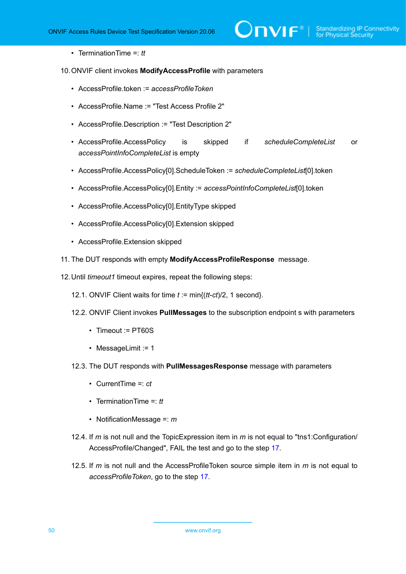# $\sum_{\text{IVIF}^{\circ} | \text{Standardizing IP Connectivity}}$

- TerminationTime =: *tt*
- <span id="page-49-1"></span>10.ONVIF client invokes **ModifyAccessProfile** with parameters
	- AccessProfile.token := *accessProfileToken*
	- AccessProfile.Name := "Test Access Profile 2"
	- AccessProfile.Description := "Test Description 2"
	- AccessProfile.AccessPolicy is skipped if *scheduleCompleteList* or *accessPointInfoCompleteList* is empty
	- AccessProfile.AccessPolicy[0].ScheduleToken := *scheduleCompleteList*[0].token
	- AccessProfile.AccessPolicy[0].Entity := *accessPointInfoCompleteList*[0].token
	- AccessProfile.AccessPolicy[0].EntityType skipped
	- AccessProfile.AccessPolicy[0].Extension skipped
	- AccessProfile.Extension skipped
- 11. The DUT responds with empty **ModifyAccessProfileResponse** message.
- <span id="page-49-0"></span>12.Until *timeout1* timeout expires, repeat the following steps:
	- 12.1. ONVIF Client waits for time *t* := min{(*tt*-*ct*)/2, 1 second}.
	- 12.2. ONVIF Client invokes **PullMessages** to the subscription endpoint s with parameters
		- Timeout := PT60S
		- MessageLimit := 1
	- 12.3. The DUT responds with **PullMessagesResponse** message with parameters
		- CurrentTime =: *ct*
		- TerminationTime =: *tt*
		- NotificationMessage =: *m*
	- 12.4. If *m* is not null and the TopicExpression item in *m* is not equal to "tns1:Configuration/ AccessProfile/Changed", FAIL the test and go to the step [17.](#page-50-0)
	- 12.5. If *m* is not null and the AccessProfileToken source simple item in *m* is not equal to *accessProfileToken*, go to the step [17](#page-50-0).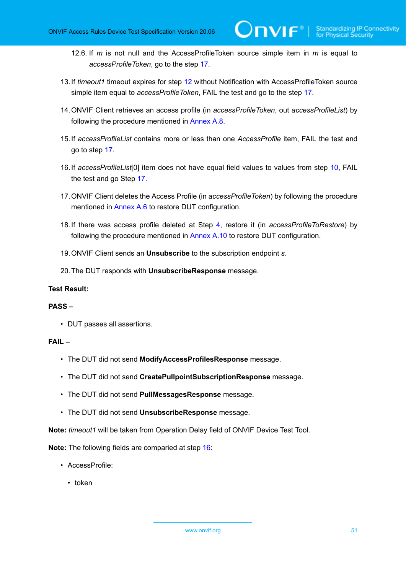- 12.6. If *m* is not null and the AccessProfileToken source simple item in *m* is equal to *accessProfileToken*, go to the step [17](#page-50-0).
- 13.If *timeout1* timeout expires for step [12](#page-49-0) without Notification with AccessProfileToken source simple item equal to *accessProfileToken*, FAIL the test and go to the step [17](#page-50-0).
- 14.ONVIF Client retrieves an access profile (in *accessProfileToken*, out *accessProfileList*) by following the procedure mentioned in [Annex A.8](#page-82-0).
- 15.If *accessProfileList* contains more or less than one *AccessProfile* item, FAIL the test and go to step [17](#page-50-0).
- <span id="page-50-1"></span>16.If *accessProfileList*[0] item does not have equal field values to values from step [10](#page-49-1), FAIL the test and go Step [17.](#page-50-0)
- <span id="page-50-0"></span>17.ONVIF Client deletes the Access Profile (in *accessProfileToken*) by following the procedure mentioned in [Annex A.6](#page-81-1) to restore DUT configuration.
- 18.If there was access profile deleted at Step [4,](#page-48-0) restore it (in *accessProfileToRestore*) by following the procedure mentioned in [Annex A.10](#page-84-0) to restore DUT configuration.
- 19.ONVIF Client sends an **Unsubscribe** to the subscription endpoint *s*.
- 20.The DUT responds with **UnsubscribeResponse** message.

## **Test Result:**

# **PASS –**

• DUT passes all assertions.

# **FAIL –**

- The DUT did not send **ModifyAccessProfilesResponse** message.
- The DUT did not send **CreatePullpointSubscriptionResponse** message.
- The DUT did not send **PullMessagesResponse** message.
- The DUT did not send **UnsubscribeResponse** message.

**Note:** *timeout1* will be taken from Operation Delay field of ONVIF Device Test Tool.

**Note:** The following fields are comparied at step [16:](#page-50-1)

- AccessProfile:
	- token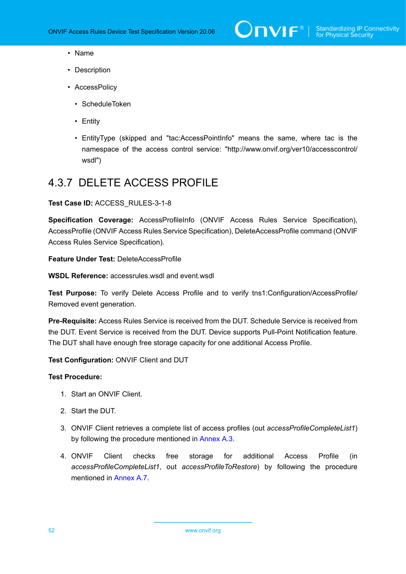- Name
- Description
- AccessPolicy
	- ScheduleToken
	- Entity
	- EntityType (skipped and "tac:AccessPointInfo" means the same, where tac is the namespace of the access control service: "http://www.onvif.org/ver10/accesscontrol/ wsdl")

# 4.3.7 DELETE ACCESS PROFILE

#### **Test Case ID:** ACCESS\_RULES-3-1-8

**Specification Coverage:** AccessProfileInfo (ONVIF Access Rules Service Specification), AccessProfile (ONVIF Access Rules Service Specification), DeleteAccessProfile command (ONVIF Access Rules Service Specification).

**Feature Under Test:** DeleteAccessProfile

**WSDL Reference:** accessrules.wsdl and event.wsdl

**Test Purpose:** To verify Delete Access Profile and to verify tns1:Configuration/AccessProfile/ Removed event generation.

**Pre-Requisite:** Access Rules Service is received from the DUT. Schedule Service is received from the DUT. Event Service is received from the DUT. Device supports Pull-Point Notification feature. The DUT shall have enough free storage capacity for one additional Access Profile.

**Test Configuration:** ONVIF Client and DUT

- 1. Start an ONVIF Client.
- 2. Start the DUT.
- 3. ONVIF Client retrieves a complete list of access profiles (out *accessProfileCompleteList1*) by following the procedure mentioned in [Annex A.3](#page-77-1).
- <span id="page-51-0"></span>4. ONVIF Client checks free storage for additional Access Profile (in *accessProfileCompleteList1*, out *accessProfileToRestore*) by following the procedure mentioned in [Annex A.7.](#page-81-0)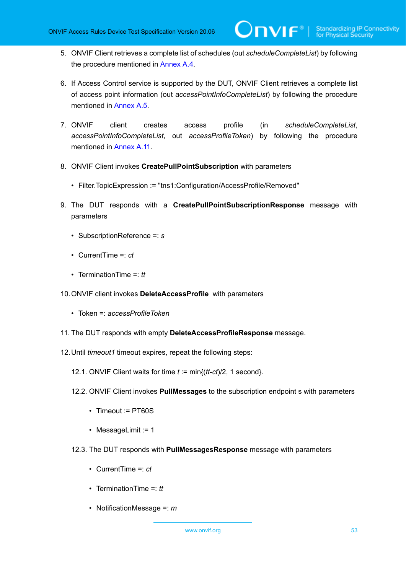5. ONVIF Client retrieves a complete list of schedules (out *scheduleCompleteList*) by following the procedure mentioned in [Annex A.4.](#page-78-0)

 $\mathsf{D}\mathbf{N}\mathsf{I}\mathsf{F}^\ast$ l

- 6. If Access Control service is supported by the DUT, ONVIF Client retrieves a complete list of access point information (out *accessPointInfoCompleteList*) by following the procedure mentioned in [Annex A.5.](#page-80-0)
- 7. ONVIF client creates access profile (in *scheduleCompleteList*, *accessPointInfoCompleteList*, out *accessProfileToken*) by following the procedure mentioned in [Annex](#page-84-1) A.11.
- 8. ONVIF Client invokes **CreatePullPointSubscription** with parameters
	- Filter.TopicExpression := "tns1:Configuration/AccessProfile/Removed"
- 9. The DUT responds with a **CreatePullPointSubscriptionResponse** message with parameters
	- SubscriptionReference =: *s*
	- CurrentTime =: *ct*
	- TerminationTime =: *tt*
- 10.ONVIF client invokes **DeleteAccessProfile** with parameters
	- Token =: *accessProfileToken*
- 11. The DUT responds with empty **DeleteAccessProfileResponse** message.
- <span id="page-52-0"></span>12.Until *timeout1* timeout expires, repeat the following steps:
	- 12.1. ONVIF Client waits for time *t* := min{(*tt*-*ct*)/2, 1 second}.
	- 12.2. ONVIF Client invokes **PullMessages** to the subscription endpoint s with parameters
		- Timeout := PT60S
		- MessageLimit := 1
	- 12.3. The DUT responds with **PullMessagesResponse** message with parameters
		- CurrentTime =: *ct*
		- TerminationTime =: *tt*
		- NotificationMessage =: *m*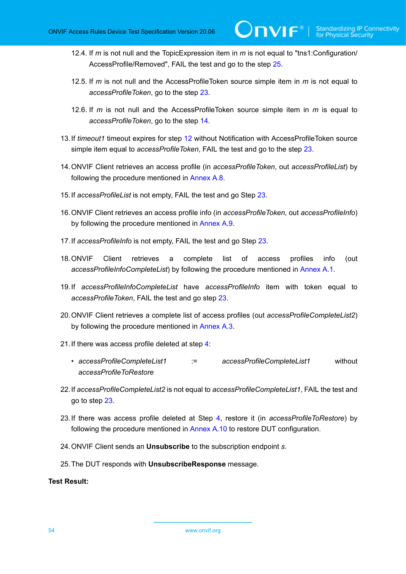- 12.4. If *m* is not null and the TopicExpression item in *m* is not equal to "tns1:Configuration/ AccessProfile/Removed", FAIL the test and go to the step [25](#page-53-0).
- 12.5. If *m* is not null and the AccessProfileToken source simple item in *m* is not equal to *accessProfileToken*, go to the step [23](#page-53-1).
- 12.6. If *m* is not null and the AccessProfileToken source simple item in *m* is equal to *accessProfileToken*, go to the step [14](#page-53-2).
- 13.If *timeout1* timeout expires for step [12](#page-52-0) without Notification with AccessProfileToken source simple item equal to *accessProfileToken*, FAIL the test and go to the step [23](#page-53-1).
- <span id="page-53-2"></span>14.ONVIF Client retrieves an access profile (in *accessProfileToken*, out *accessProfileList*) by following the procedure mentioned in [Annex A.8](#page-82-0).
- 15.If *accessProfileList* is not empty, FAIL the test and go Step [23](#page-53-1).
- 16.ONVIF Client retrieves an access profile info (in *accessProfileToken*, out *accessProfileInfo*) by following the procedure mentioned in [Annex A.9](#page-83-0).
- 17.If *accessProfileInfo* is not empty, FAIL the test and go Step [23.](#page-53-1)
- 18.ONVIF Client retrieves a complete list of access profiles info (out *accessProfileInfoCompleteList*) by following the procedure mentioned in [Annex A.1.](#page-76-0)
- 19.If *accessProfileInfoCompleteList* have *accessProfileInfo* item with token equal to *accessProfileToken*, FAIL the test and go step [23](#page-53-1).
- 20.ONVIF Client retrieves a complete list of access profiles (out *accessProfileCompleteList2*) by following the procedure mentioned in [Annex A.3](#page-77-1).
- 21.If there was access profile deleted at step [4](#page-51-0):
	- *accessProfileCompleteList1* := *accessProfileCompleteList1* without *accessProfileToRestore*
- 22.If *accessProfileCompleteList2* is not equal to *accessProfileCompleteList1*, FAIL the test and go to step [23](#page-53-1).
- <span id="page-53-1"></span>23.If there was access profile deleted at Step [4,](#page-51-0) restore it (in *accessProfileToRestore*) by following the procedure mentioned in [Annex A.10](#page-84-0) to restore DUT configuration.
- 24.ONVIF Client sends an **Unsubscribe** to the subscription endpoint *s*.
- <span id="page-53-0"></span>25.The DUT responds with **UnsubscribeResponse** message.

# **Test Result:**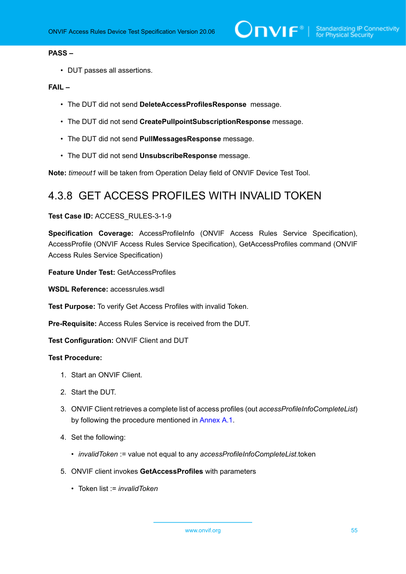# **PASS –**

• DUT passes all assertions.

# **FAIL –**

- The DUT did not send **DeleteAccessProfilesResponse** message.
- The DUT did not send **CreatePullpointSubscriptionResponse** message.
- The DUT did not send **PullMessagesResponse** message.
- The DUT did not send **UnsubscribeResponse** message.

**Note:** *timeout1* will be taken from Operation Delay field of ONVIF Device Test Tool.

# 4.3.8 GET ACCESS PROFILES WITH INVALID TOKEN

#### **Test Case ID:** ACCESS\_RULES-3-1-9

Specification Coverage: AccessProfileInfo (ONVIF Access Rules Service Specification), AccessProfile (ONVIF Access Rules Service Specification), GetAccessProfiles command (ONVIF Access Rules Service Specification)

**Feature Under Test:** GetAccessProfiles

**WSDL Reference:** accessrules.wsdl

**Test Purpose:** To verify Get Access Profiles with invalid Token.

**Pre-Requisite:** Access Rules Service is received from the DUT.

**Test Configuration:** ONVIF Client and DUT

- 1. Start an ONVIF Client.
- 2. Start the DUT.
- 3. ONVIF Client retrieves a complete list of access profiles (out *accessProfileInfoCompleteList*) by following the procedure mentioned in [Annex A.1](#page-76-0).
- 4. Set the following:
	- *invalidToken* := value not equal to any *accessProfileInfoCompleteList*.token
- 5. ONVIF client invokes **GetAccessProfiles** with parameters
	- Token list := *invalidToken*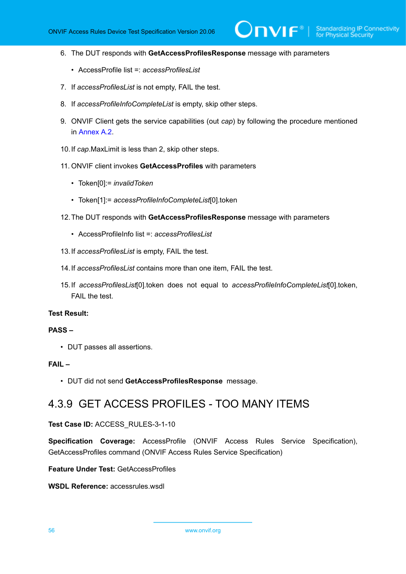- 6. The DUT responds with **GetAccessProfilesResponse** message with parameters
	- AccessProfile list =: *accessProfilesList*
- 7. If *accessProfilesList* is not empty, FAIL the test.
- 8. If *accessProfileInfoCompleteList* is empty, skip other steps.
- 9. ONVIF Client gets the service capabilities (out *cap*) by following the procedure mentioned in Annex A 2
- 10.If *cap*.MaxLimit is less than 2, skip other steps.
- 11. ONVIF client invokes **GetAccessProfiles** with parameters
	- Token[0]:= *invalidToken*
	- Token[1]:= *accessProfileInfoCompleteList*[0].token
- 12.The DUT responds with **GetAccessProfilesResponse** message with parameters
	- AccessProfileInfo list =: *accessProfilesList*
- 13.If *accessProfilesList* is empty, FAIL the test.
- 14.If *accessProfilesList* contains more than one item, FAIL the test.
- 15.If *accessProfilesList*[0].token does not equal to *accessProfileInfoCompleteList*[0].token, FAIL the test.

# **Test Result:**

#### **PASS –**

• DUT passes all assertions.

# **FAIL –**

• DUT did not send **GetAccessProfilesResponse** message.

# 4.3.9 GET ACCESS PROFILES - TOO MANY ITEMS

#### **Test Case ID:** ACCESS\_RULES-3-1-10

**Specification Coverage:** AccessProfile (ONVIF Access Rules Service Specification), GetAccessProfiles command (ONVIF Access Rules Service Specification)

**Feature Under Test:** GetAccessProfiles

**WSDL Reference:** accessrules.wsdl

56 www.onvif.org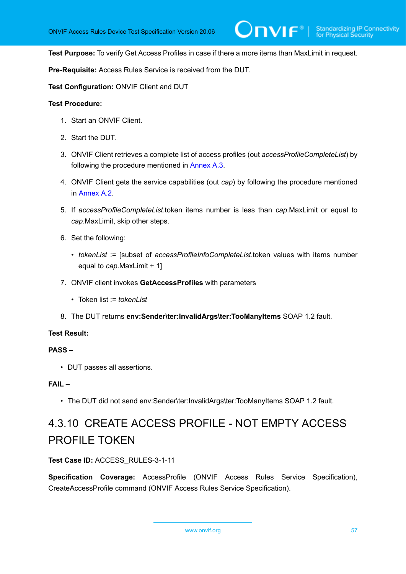**Test Purpose:** To verify Get Access Profiles in case if there a more items than MaxLimit in request.

**Pre-Requisite:** Access Rules Service is received from the DUT.

## **Test Configuration:** ONVIF Client and DUT

## **Test Procedure:**

- 1. Start an ONVIF Client.
- 2. Start the DUT.
- 3. ONVIF Client retrieves a complete list of access profiles (out *accessProfileCompleteList*) by following the procedure mentioned in [Annex A.3](#page-77-1).
- 4. ONVIF Client gets the service capabilities (out *cap*) by following the procedure mentioned in [Annex A.2.](#page-77-0)
- 5. If *accessProfileCompleteList*.token items number is less than *cap*.MaxLimit or equal to *cap*.MaxLimit, skip other steps.
- 6. Set the following:
	- *tokenList* := [subset of *accessProfileInfoCompleteList*.token values with items number equal to *cap*.MaxLimit + 1]
- 7. ONVIF client invokes **GetAccessProfiles** with parameters
	- Token list := *tokenList*
- 8. The DUT returns **env:Sender\ter:InvalidArgs\ter:TooManyItems** SOAP 1.2 fault.

## **Test Result:**

# **PASS –**

• DUT passes all assertions.

# **FAIL –**

• The DUT did not send env:Sender\ter:InvalidArgs\ter:TooManyItems SOAP 1.2 fault.

# 4.3.10 CREATE ACCESS PROFILE - NOT EMPTY ACCESS PROFILE TOKEN

## **Test Case ID:** ACCESS\_RULES-3-1-11

**Specification Coverage:** AccessProfile (ONVIF Access Rules Service Specification), CreateAccessProfile command (ONVIF Access Rules Service Specification).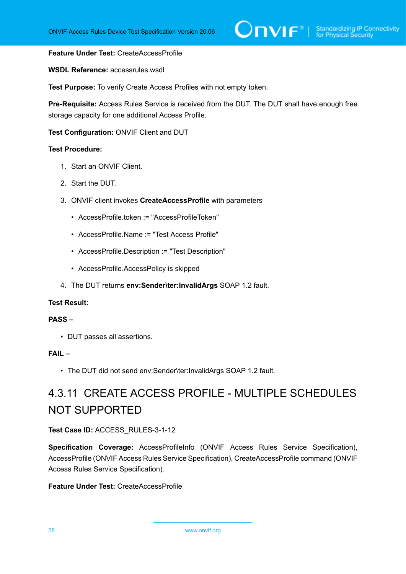# **Feature Under Test:** CreateAccessProfile

#### **WSDL Reference:** accessrules.wsdl

**Test Purpose:** To verify Create Access Profiles with not empty token.

**Pre-Requisite:** Access Rules Service is received from the DUT. The DUT shall have enough free storage capacity for one additional Access Profile.

# **Test Configuration:** ONVIF Client and DUT

#### **Test Procedure:**

- 1. Start an ONVIF Client.
- 2. Start the DUT.
- 3. ONVIF client invokes **CreateAccessProfile** with parameters
	- AccessProfile.token := "AccessProfileToken"
	- AccessProfile.Name := "Test Access Profile"
	- AccessProfile.Description := "Test Description"
	- AccessProfile.AccessPolicy is skipped
- 4. The DUT returns **env:Sender\ter:InvalidArgs** SOAP 1.2 fault.

#### **Test Result:**

#### **PASS –**

• DUT passes all assertions.

#### **FAIL –**

• The DUT did not send env:Sender\ter:InvalidArgs SOAP 1.2 fault.

# 4.3.11 CREATE ACCESS PROFILE - MULTIPLE SCHEDULES NOT SUPPORTED

# **Test Case ID:** ACCESS\_RULES-3-1-12

Specification Coverage: AccessProfileInfo (ONVIF Access Rules Service Specification), AccessProfile (ONVIF Access Rules Service Specification), CreateAccessProfile command (ONVIF Access Rules Service Specification).

#### **Feature Under Test:** CreateAccessProfile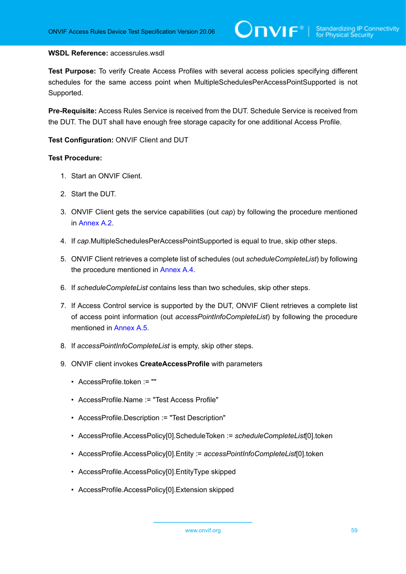#### **WSDL Reference:** accessrules.wsdl

**Test Purpose:** To verify Create Access Profiles with several access policies specifying different schedules for the same access point when MultipleSchedulesPerAccessPointSupported is not Supported.

**Pre-Requisite:** Access Rules Service is received from the DUT. Schedule Service is received from the DUT. The DUT shall have enough free storage capacity for one additional Access Profile.

**Test Configuration:** ONVIF Client and DUT

- 1. Start an ONVIF Client.
- 2. Start the DUT.
- 3. ONVIF Client gets the service capabilities (out *cap*) by following the procedure mentioned in [Annex A.2.](#page-77-0)
- 4. If *cap*.MultipleSchedulesPerAccessPointSupported is equal to true, skip other steps.
- 5. ONVIF Client retrieves a complete list of schedules (out *scheduleCompleteList*) by following the procedure mentioned in [Annex A.4.](#page-78-0)
- 6. If *scheduleCompleteList* contains less than two schedules, skip other steps.
- 7. If Access Control service is supported by the DUT, ONVIF Client retrieves a complete list of access point information (out *accessPointInfoCompleteList*) by following the procedure mentioned in [Annex A.5.](#page-80-0)
- 8. If *accessPointInfoCompleteList* is empty, skip other steps.
- 9. ONVIF client invokes **CreateAccessProfile** with parameters
	- AccessProfile.token := ""
	- AccessProfile.Name := "Test Access Profile"
	- AccessProfile.Description := "Test Description"
	- AccessProfile.AccessPolicy[0].ScheduleToken := *scheduleCompleteList*[0].token
	- AccessProfile.AccessPolicy[0].Entity := *accessPointInfoCompleteList*[0].token
	- AccessProfile.AccessPolicy[0].EntityType skipped
	- AccessProfile.AccessPolicy[0].Extension skipped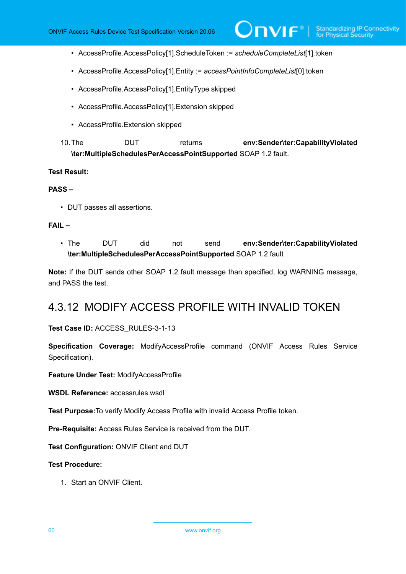- AccessProfile.AccessPolicy[1].ScheduleToken := *scheduleCompleteList*[1].token
- AccessProfile.AccessPolicy[1].Entity := *accessPointInfoCompleteList*[0].token
- AccessProfile.AccessPolicy[1].EntityType skipped
- AccessProfile.AccessPolicy[1].Extension skipped
- AccessProfile.Extension skipped

10.The DUT returns **env:Sender\ter:CapabilityViolated \ter:MultipleSchedulesPerAccessPointSupported** SOAP 1.2 fault.

#### **Test Result:**

#### **PASS –**

• DUT passes all assertions.

# **FAIL –**

• The DUT did not send **env:Sender\ter:CapabilityViolated \ter:MultipleSchedulesPerAccessPointSupported** SOAP 1.2 fault

**Note:** If the DUT sends other SOAP 1.2 fault message than specified, log WARNING message, and PASS the test.

# 4.3.12 MODIFY ACCESS PROFILE WITH INVALID TOKEN

#### **Test Case ID:** ACCESS\_RULES-3-1-13

**Specification Coverage:** ModifyAccessProfile command (ONVIF Access Rules Service Specification).

**Feature Under Test:** ModifyAccessProfile

**WSDL Reference:** accessrules.wsdl

**Test Purpose:**To verify Modify Access Profile with invalid Access Profile token.

**Pre-Requisite:** Access Rules Service is received from the DUT.

**Test Configuration:** ONVIF Client and DUT

**Test Procedure:**

1. Start an ONVIF Client.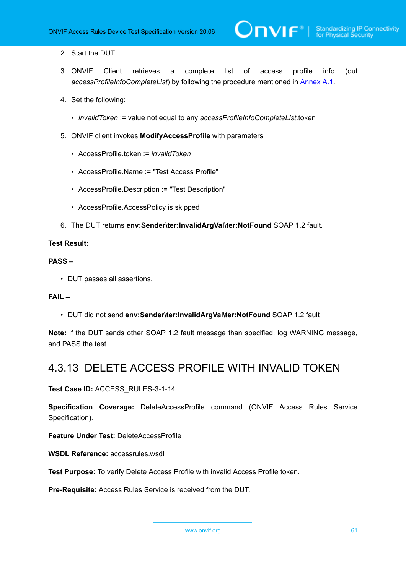- 2. Start the DUT.
- 3. ONVIF Client retrieves a complete list of access profile info (out *accessProfileInfoCompleteList*) by following the procedure mentioned in [Annex A.1.](#page-76-0)
- 4. Set the following:
	- *invalidToken* := value not equal to any *accessProfileInfoCompleteList*.token
- 5. ONVIF client invokes **ModifyAccessProfile** with parameters
	- AccessProfile.token := *invalidToken*
	- AccessProfile.Name := "Test Access Profile"
	- AccessProfile.Description := "Test Description"
	- AccessProfile.AccessPolicy is skipped
- 6. The DUT returns **env:Sender\ter:InvalidArgVal\ter:NotFound** SOAP 1.2 fault.

# **Test Result:**

# **PASS –**

• DUT passes all assertions.

# **FAIL –**

• DUT did not send **env:Sender\ter:InvalidArgVal\ter:NotFound** SOAP 1.2 fault

**Note:** If the DUT sends other SOAP 1.2 fault message than specified, log WARNING message, and PASS the test.

# 4.3.13 DELETE ACCESS PROFILE WITH INVALID TOKEN

**Test Case ID:** ACCESS\_RULES-3-1-14

**Specification Coverage:** DeleteAccessProfile command (ONVIF Access Rules Service Specification).

**Feature Under Test:** DeleteAccessProfile

**WSDL Reference:** accessrules.wsdl

**Test Purpose:** To verify Delete Access Profile with invalid Access Profile token.

**Pre-Requisite:** Access Rules Service is received from the DUT.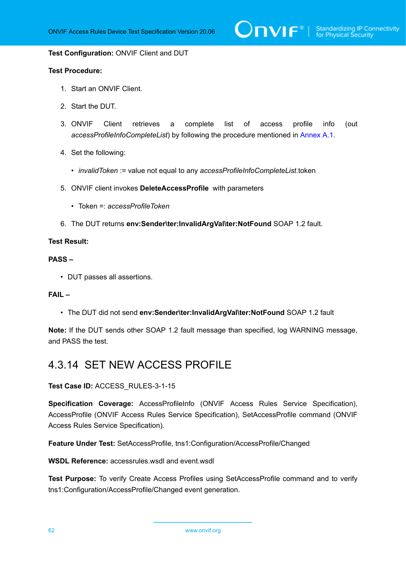#### **Test Configuration:** ONVIF Client and DUT

### **Test Procedure:**

- 1. Start an ONVIF Client.
- 2. Start the DUT.
- 3. ONVIF Client retrieves a complete list of access profile info (out *accessProfileInfoCompleteList*) by following the procedure mentioned in [Annex A.1.](#page-76-0)
- 4. Set the following:
	- *invalidToken* := value not equal to any *accessProfileInfoCompleteList*.token
- 5. ONVIF client invokes **DeleteAccessProfile** with parameters
	- Token =: *accessProfileToken*
- 6. The DUT returns **env:Sender\ter:InvalidArgVal\ter:NotFound** SOAP 1.2 fault.

#### **Test Result:**

#### **PASS –**

• DUT passes all assertions.

## **FAIL –**

• The DUT did not send **env:Sender\ter:InvalidArgVal\ter:NotFound** SOAP 1.2 fault

**Note:** If the DUT sends other SOAP 1.2 fault message than specified, log WARNING message, and PASS the test.

# 4.3.14 SET NEW ACCESS PROFILE

#### **Test Case ID:** ACCESS\_RULES-3-1-15

Specification Coverage: AccessProfileInfo (ONVIF Access Rules Service Specification), AccessProfile (ONVIF Access Rules Service Specification), SetAccessProfile command (ONVIF Access Rules Service Specification).

**Feature Under Test:** SetAccessProfile, tns1:Configuration/AccessProfile/Changed

**WSDL Reference:** accessrules.wsdl and event.wsdl

**Test Purpose:** To verify Create Access Profiles using SetAccessProfile command and to verify tns1:Configuration/AccessProfile/Changed event generation.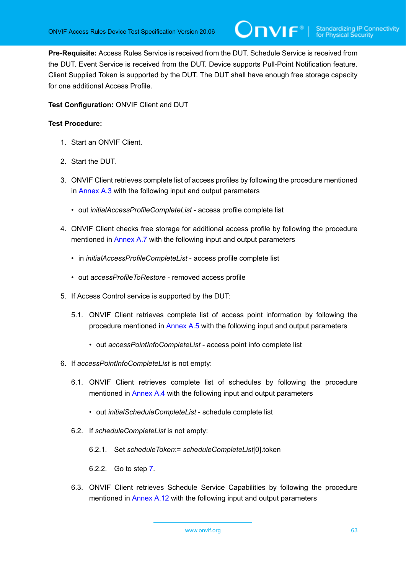**Pre-Requisite:** Access Rules Service is received from the DUT. Schedule Service is received from the DUT. Event Service is received from the DUT. Device supports Pull-Point Notification feature. Client Supplied Token is supported by the DUT. The DUT shall have enough free storage capacity for one additional Access Profile.

# **Test Configuration:** ONVIF Client and DUT

- 1. Start an ONVIF Client.
- 2. Start the DUT.
- 3. ONVIF Client retrieves complete list of access profiles by following the procedure mentioned in [Annex A.3](#page-77-1) with the following input and output parameters
	- out *initialAccessProfileCompleteList* access profile complete list
- <span id="page-62-0"></span>4. ONVIF Client checks free storage for additional access profile by following the procedure mentioned in [Annex A.7](#page-81-0) with the following input and output parameters
	- in *initialAccessProfileCompleteList* access profile complete list
	- out *accessProfileToRestore* removed access profile
- 5. If Access Control service is supported by the DUT:
	- 5.1. ONVIF Client retrieves complete list of access point information by following the procedure mentioned in [Annex A.5](#page-80-0) with the following input and output parameters
		- out *accessPointInfoCompleteList* access point info complete list
- 6. If *accessPointInfoCompleteList* is not empty:
	- 6.1. ONVIF Client retrieves complete list of schedules by following the procedure mentioned in [Annex A.4](#page-78-0) with the following input and output parameters
		- out *initialScheduleCompleteList* schedule complete list
	- 6.2. If *scheduleCompleteList* is not empty:
		- 6.2.1. Set *scheduleToken*:= *scheduleCompleteList*[0].token
		- 6.2.2. Go to step [7.](#page-63-0)
	- 6.3. ONVIF Client retrieves Schedule Service Capabilities by following the procedure mentioned in [Annex A.12](#page-85-0) with the following input and output parameters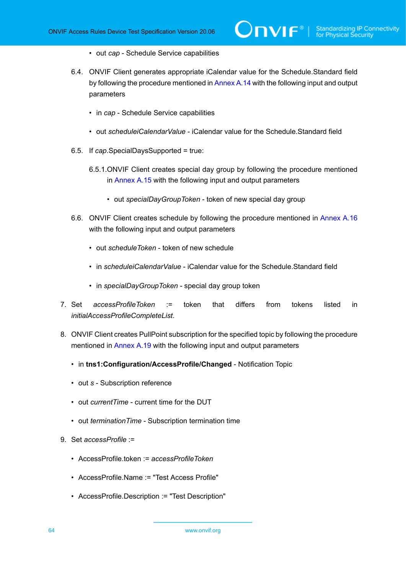- out *cap* Schedule Service capabilities
- 6.4. ONVIF Client generates appropriate iCalendar value for the Schedule.Standard field by following the procedure mentioned in [Annex A.14](#page-86-0) with the following input and output parameters

)nvıғ®

- in *cap* Schedule Service capabilities
- out *scheduleiCalendarValue* iCalendar value for the Schedule.Standard field
- 6.5. If *cap*.SpecialDaysSupported = true:
	- 6.5.1.ONVIF Client creates special day group by following the procedure mentioned in [Annex A.15](#page-88-0) with the following input and output parameters
		- out *specialDayGroupToken* token of new special day group
- 6.6. ONVIF Client creates schedule by following the procedure mentioned in [Annex A.16](#page-89-0) with the following input and output parameters
	- out *scheduleToken* token of new schedule
	- in *scheduleiCalendarValue* iCalendar value for the Schedule.Standard field
	- in *specialDayGroupToken* special day group token
- <span id="page-63-0"></span>7. Set *accessProfileToken* := token that differs from tokens listed in *initialAccessProfileCompleteList*.
- 8. ONVIF Client creates PullPoint subscription for the specified topic by following the procedure mentioned in [Annex A.19](#page-91-1) with the following input and output parameters
	- in **tns1:Configuration/AccessProfile/Changed** Notification Topic
	- out *s* Subscription reference
	- out *currentTime* current time for the DUT
	- out *terminationTime* Subscription termination time
- 9. Set *accessProfile* :=
	- AccessProfile.token := *accessProfileToken*
	- AccessProfile.Name := "Test Access Profile"
	- AccessProfile.Description := "Test Description"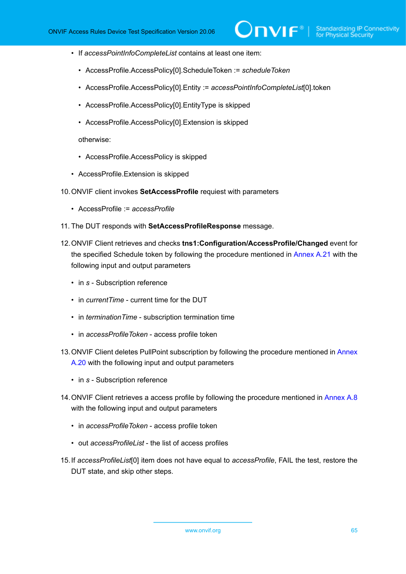- If *accessPointInfoCompleteList* contains at least one item:
	- AccessProfile.AccessPolicy[0].ScheduleToken := *scheduleToken*
	- AccessProfile.AccessPolicy[0].Entity := *accessPointInfoCompleteList*[0].token
	- AccessProfile.AccessPolicy[0].EntityType is skipped
	- AccessProfile.AccessPolicy[0].Extension is skipped

otherwise:

- AccessProfile.AccessPolicy is skipped
- AccessProfile.Extension is skipped
- 10.ONVIF client invokes **SetAccessProfile** requiest with parameters
	- AccessProfile := *accessProfile*
- 11. The DUT responds with **SetAccessProfileResponse** message.
- 12.ONVIF Client retrieves and checks **tns1:Configuration/AccessProfile/Changed** event for the specified Schedule token by following the procedure mentioned in [Annex A.21](#page-93-0) with the following input and output parameters
	- in *s* Subscription reference
	- in *currentTime* current time for the DUT
	- in *terminationTime* subscription termination time
	- in *accessProfileToken* access profile token
- 13.ONVIF Client deletes PullPoint subscription by following the procedure mentioned in [Annex](#page-92-0) [A.20](#page-92-0) with the following input and output parameters
	- in *s* Subscription reference
- 14.ONVIF Client retrieves a access profile by following the procedure mentioned in [Annex A.8](#page-82-0) with the following input and output parameters
	- in *accessProfileToken* access profile token
	- out *accessProfileList* the list of access profiles
- <span id="page-64-0"></span>15.If *accessProfileList*[0] item does not have equal to *accessProfile*, FAIL the test, restore the DUT state, and skip other steps.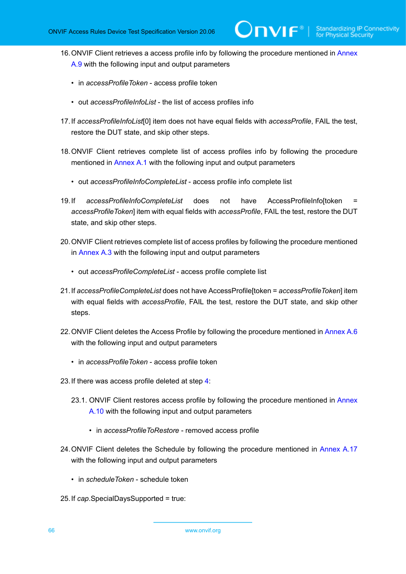16.ONVIF Client retrieves a access profile info by following the procedure mentioned in [Annex](#page-83-0) [A.9](#page-83-0) with the following input and output parameters

 $\mathsf{J}\mathsf{IVIF}^*$  i

- in *accessProfileToken* access profile token
- out *accessProfileInfoList* the list of access profiles info
- <span id="page-65-1"></span>17.If *accessProfileInfoList*[0] item does not have equal fields with *accessProfile*, FAIL the test, restore the DUT state, and skip other steps.
- 18.ONVIF Client retrieves complete list of access profiles info by following the procedure mentioned in [Annex A.1](#page-76-0) with the following input and output parameters
	- out *accessProfileInfoCompleteList* access profile info complete list
- <span id="page-65-2"></span>19.If *accessProfileInfoCompleteList* does not have AccessProfileInfo[token = *accessProfileToken*] item with equal fields with *accessProfile*, FAIL the test, restore the DUT state, and skip other steps.
- 20.ONVIF Client retrieves complete list of access profiles by following the procedure mentioned in [Annex A.3](#page-77-1) with the following input and output parameters
	- out *accessProfileCompleteList* access profile complete list
- <span id="page-65-0"></span>21.If *accessProfileCompleteList* does not have AccessProfile[token = *accessProfileToken*] item with equal fields with *accessProfile*, FAIL the test, restore the DUT state, and skip other steps.
- 22. ONVIF Client deletes the Access Profile by following the procedure mentioned in [Annex A.6](#page-81-1) with the following input and output parameters
	- in *accessProfileToken* access profile token
- 23.If there was access profile deleted at step [4](#page-62-0):
	- 23.1. ONVIF Client restores access profile by following the procedure mentioned in [Annex](#page-84-0) [A.10](#page-84-0) with the following input and output parameters
		- in *accessProfileToRestore* removed access profile
- 24.ONVIF Client deletes the Schedule by following the procedure mentioned in [Annex A.17](#page-90-0) with the following input and output parameters
	- in *scheduleToken* schedule token
- 25.If *cap*.SpecialDaysSupported = true: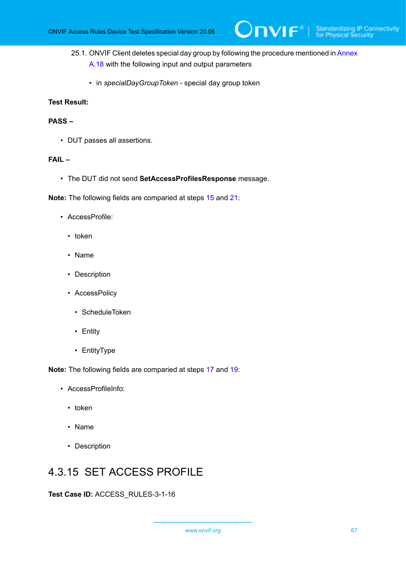- 25.1. ONVIF Client deletes special day group by following the procedure mentioned in [Annex](#page-91-0) [A.18](#page-91-0) with the following input and output parameters
	- in *specialDayGroupToken* special day group token

# **Test Result:**

## **PASS –**

• DUT passes all assertions.

## **FAIL –**

• The DUT did not send **SetAccessProfilesResponse** message.

**Note:** The following fields are comparied at steps [15](#page-64-0) and [21](#page-65-0):

- AccessProfile:
	- token
	- Name
	- Description
	- AccessPolicy
		- ScheduleToken
		- Entity
		- EntityType

**Note:** The following fields are comparied at steps [17](#page-65-1) and [19](#page-65-2):

- AccessProfileInfo:
	- token
	- Name
	- Description

# 4.3.15 SET ACCESS PROFILE

**Test Case ID:** ACCESS\_RULES-3-1-16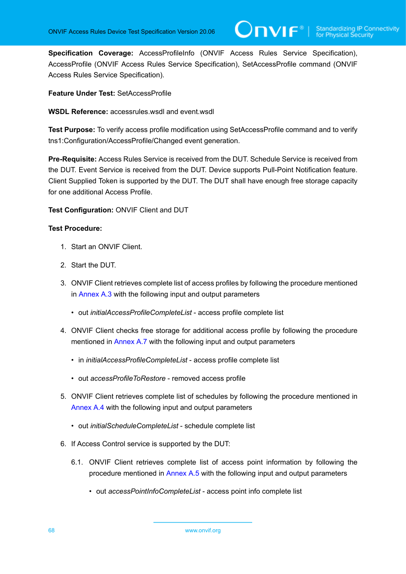**Specification Coverage:** AccessProfileInfo (ONVIF Access Rules Service Specification), AccessProfile (ONVIF Access Rules Service Specification), SetAccessProfile command (ONVIF Access Rules Service Specification).

**Feature Under Test:** SetAccessProfile

**WSDL Reference:** accessrules.wsdl and event.wsdl

**Test Purpose:** To verify access profile modification using SetAccessProfile command and to verify tns1:Configuration/AccessProfile/Changed event generation.

**Pre-Requisite:** Access Rules Service is received from the DUT. Schedule Service is received from the DUT. Event Service is received from the DUT. Device supports Pull-Point Notification feature. Client Supplied Token is supported by the DUT. The DUT shall have enough free storage capacity for one additional Access Profile.

**Test Configuration:** ONVIF Client and DUT

- 1. Start an ONVIF Client.
- 2. Start the DUT.
- 3. ONVIF Client retrieves complete list of access profiles by following the procedure mentioned in [Annex A.3](#page-77-1) with the following input and output parameters
	- out *initialAccessProfileCompleteList* access profile complete list
- <span id="page-67-0"></span>4. ONVIF Client checks free storage for additional access profile by following the procedure mentioned in [Annex A.7](#page-81-0) with the following input and output parameters
	- in *initialAccessProfileCompleteList* access profile complete list
	- out *accessProfileToRestore* removed access profile
- 5. ONVIF Client retrieves complete list of schedules by following the procedure mentioned in [Annex A.4](#page-78-0) with the following input and output parameters
	- out *initialScheduleCompleteList* schedule complete list
- 6. If Access Control service is supported by the DUT:
	- 6.1. ONVIF Client retrieves complete list of access point information by following the procedure mentioned in [Annex A.5](#page-80-0) with the following input and output parameters
		- out *accessPointInfoCompleteList* access point info complete list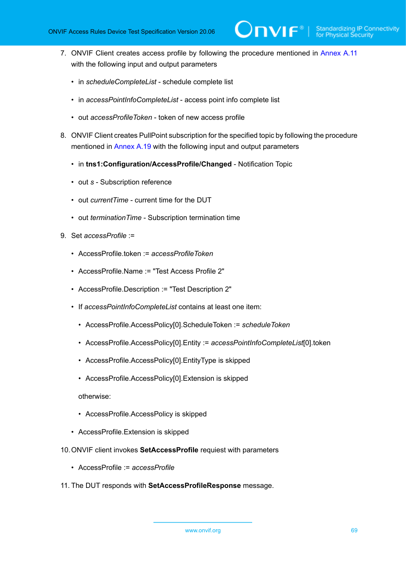- 7. ONVIF Client creates access profile by following the procedure mentioned in [Annex](#page-84-1) A.11 with the following input and output parameters
	- in *scheduleCompleteList* schedule complete list
	- in *accessPointInfoCompleteList* access point info complete list
	- out *accessProfileToken* token of new access profile
- 8. ONVIF Client creates PullPoint subscription for the specified topic by following the procedure mentioned in [Annex A.19](#page-91-1) with the following input and output parameters
	- in **tns1:Configuration/AccessProfile/Changed** Notification Topic
	- out *s* Subscription reference
	- out *currentTime* current time for the DUT
	- out *terminationTime* Subscription termination time
- 9. Set *accessProfile* :=
	- AccessProfile.token := *accessProfileToken*
	- AccessProfile.Name := "Test Access Profile 2"
	- AccessProfile.Description := "Test Description 2"
	- If *accessPointInfoCompleteList* contains at least one item:
		- AccessProfile.AccessPolicy[0].ScheduleToken := *scheduleToken*
		- AccessProfile.AccessPolicy[0].Entity := *accessPointInfoCompleteList*[0].token
		- AccessProfile.AccessPolicy[0].EntityType is skipped
		- AccessProfile.AccessPolicy[0].Extension is skipped

otherwise:

- AccessProfile.AccessPolicy is skipped
- AccessProfile.Extension is skipped
- 10.ONVIF client invokes **SetAccessProfile** requiest with parameters
	- AccessProfile := *accessProfile*
- 11. The DUT responds with **SetAccessProfileResponse** message.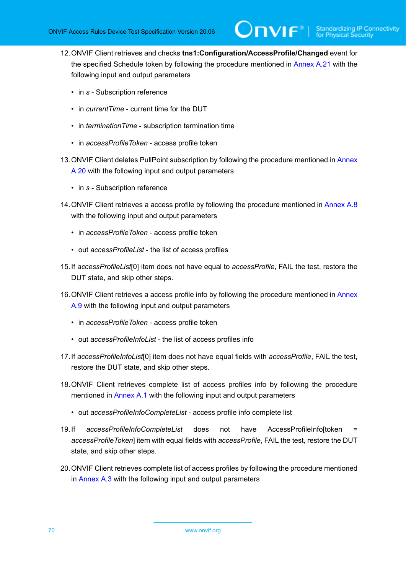- 12.ONVIF Client retrieves and checks **tns1:Configuration/AccessProfile/Changed** event for the specified Schedule token by following the procedure mentioned in [Annex A.21](#page-93-0) with the following input and output parameters
	- in *s* Subscription reference
	- in *currentTime* current time for the DUT
	- in *terminationTime* subscription termination time
	- in *accessProfileToken* access profile token
- 13. ONVIF Client deletes PullPoint subscription by following the procedure mentioned in [Annex](#page-92-0) [A.20](#page-92-0) with the following input and output parameters
	- in *s* Subscription reference
- 14. ONVIF Client retrieves a access profile by following the procedure mentioned in [Annex A.8](#page-82-0) with the following input and output parameters
	- in *accessProfileToken* access profile token
	- out *accessProfileList* the list of access profiles
- <span id="page-69-0"></span>15.If *accessProfileList*[0] item does not have equal to *accessProfile*, FAIL the test, restore the DUT state, and skip other steps.
- 16.ONVIF Client retrieves a access profile info by following the procedure mentioned in [Annex](#page-83-0) [A.9](#page-83-0) with the following input and output parameters
	- in *accessProfileToken* access profile token
	- out *accessProfileInfoList* the list of access profiles info
- <span id="page-69-1"></span>17.If *accessProfileInfoList*[0] item does not have equal fields with *accessProfile*, FAIL the test, restore the DUT state, and skip other steps.
- 18.ONVIF Client retrieves complete list of access profiles info by following the procedure mentioned in [Annex A.1](#page-76-0) with the following input and output parameters
	- out *accessProfileInfoCompleteList* access profile info complete list
- <span id="page-69-2"></span>19.If *accessProfileInfoCompleteList* does not have AccessProfileInfo[token *accessProfileToken*] item with equal fields with *accessProfile*, FAIL the test, restore the DUT state, and skip other steps.
- 20.ONVIF Client retrieves complete list of access profiles by following the procedure mentioned in [Annex A.3](#page-77-1) with the following input and output parameters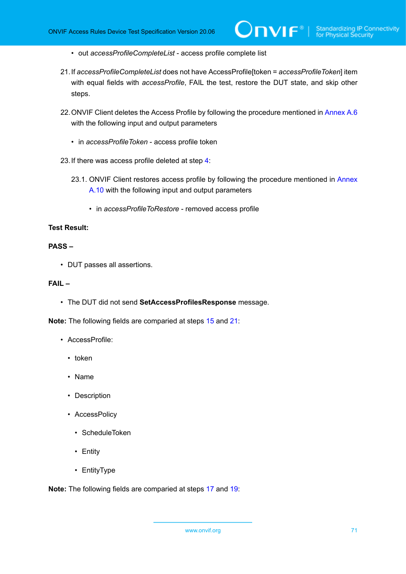- out *accessProfileCompleteList* access profile complete list
- <span id="page-70-0"></span>21.If *accessProfileCompleteList* does not have AccessProfile[token = *accessProfileToken*] item with equal fields with *accessProfile*, FAIL the test, restore the DUT state, and skip other steps.
- 22.ONVIF Client deletes the Access Profile by following the procedure mentioned in [Annex A.6](#page-81-1) with the following input and output parameters
	- in *accessProfileToken* access profile token
- 23.If there was access profile deleted at step [4](#page-67-0):
	- 23.1. ONVIF Client restores access profile by following the procedure mentioned in [Annex](#page-84-0) [A.10](#page-84-0) with the following input and output parameters
		- in *accessProfileToRestore* removed access profile

## **Test Result:**

#### **PASS –**

• DUT passes all assertions.

# **FAIL –**

• The DUT did not send **SetAccessProfilesResponse** message.

**Note:** The following fields are comparied at steps [15](#page-69-0) and [21](#page-70-0):

- AccessProfile:
	- token
	- Name
	- Description
	- AccessPolicy
		- ScheduleToken
		- Entity
		- EntityType

**Note:** The following fields are comparied at steps [17](#page-69-1) and [19](#page-69-2):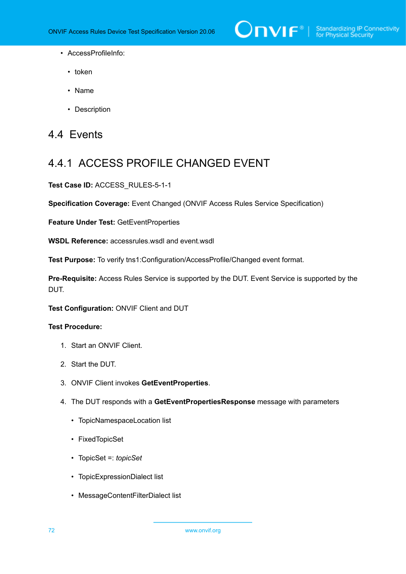

- AccessProfileInfo:
	- token
	- Name
	- Description
- 4.4 Events

# 4.4.1 ACCESS PROFILE CHANGED EVENT

**Test Case ID:** ACCESS\_RULES-5-1-1

**Specification Coverage:** Event Changed (ONVIF Access Rules Service Specification)

**Feature Under Test:** GetEventProperties

**WSDL Reference:** accessrules.wsdl and event.wsdl

**Test Purpose:** To verify tns1:Configuration/AccessProfile/Changed event format.

**Pre-Requisite:** Access Rules Service is supported by the DUT. Event Service is supported by the DUT.

**Test Configuration:** ONVIF Client and DUT

- 1. Start an ONVIF Client.
- 2. Start the DUT.
- 3. ONVIF Client invokes **GetEventProperties**.
- 4. The DUT responds with a **GetEventPropertiesResponse** message with parameters
	- TopicNamespaceLocation list
	- FixedTopicSet
	- TopicSet =: *topicSet*
	- TopicExpressionDialect list
	- MessageContentFilterDialect list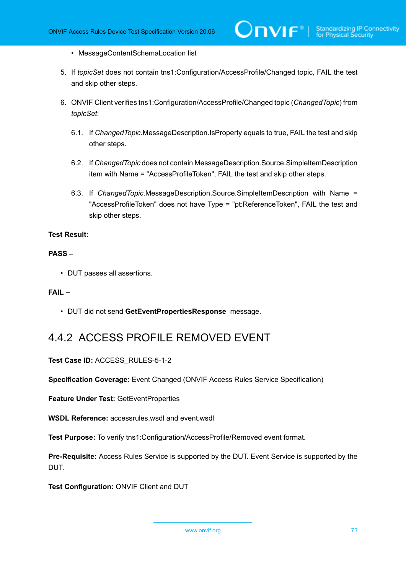- MessageContentSchemaLocation list
- 5. If *topicSet* does not contain tns1:Configuration/AccessProfile/Changed topic, FAIL the test and skip other steps.
- 6. ONVIF Client verifies tns1:Configuration/AccessProfile/Changed topic (*ChangedTopic*) from *topicSet*:
	- 6.1. If *ChangedTopic*.MessageDescription.IsProperty equals to true, FAIL the test and skip other steps.
	- 6.2. If *ChangedTopic* does not contain MessageDescription.Source.SimpleItemDescription item with Name = "AccessProfileToken", FAIL the test and skip other steps.
	- 6.3. If *ChangedTopic*.MessageDescription.Source.SimpleItemDescription with Name = "AccessProfileToken" does not have Type = "pt:ReferenceToken", FAIL the test and skip other steps.

# **Test Result:**

### **PASS –**

• DUT passes all assertions.

#### **FAIL –**

• DUT did not send **GetEventPropertiesResponse** message.

# 4.4.2 ACCESS PROFILE REMOVED EVENT

**Test Case ID:** ACCESS\_RULES-5-1-2

**Specification Coverage:** Event Changed (ONVIF Access Rules Service Specification)

**Feature Under Test:** GetEventProperties

**WSDL Reference:** accessrules.wsdl and event.wsdl

**Test Purpose:** To verify tns1:Configuration/AccessProfile/Removed event format.

**Pre-Requisite:** Access Rules Service is supported by the DUT. Event Service is supported by the DUT.

**Test Configuration:** ONVIF Client and DUT

www.onvif.org 73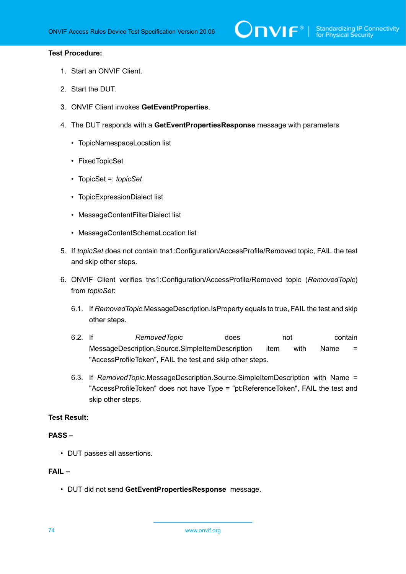# $\sum_{\text{IVIF}^{\circ} | \text{Standardizing IP Connectivity}}$

### **Test Procedure:**

- 1. Start an ONVIF Client.
- 2. Start the DUT.
- 3. ONVIF Client invokes **GetEventProperties**.
- 4. The DUT responds with a **GetEventPropertiesResponse** message with parameters
	- TopicNamespaceLocation list
	- FixedTopicSet
	- TopicSet =: *topicSet*
	- TopicExpressionDialect list
	- MessageContentFilterDialect list
	- MessageContentSchemaLocation list
- 5. If *topicSet* does not contain tns1:Configuration/AccessProfile/Removed topic, FAIL the test and skip other steps.
- 6. ONVIF Client verifies tns1:Configuration/AccessProfile/Removed topic (*RemovedTopic*) from *topicSet*:
	- 6.1. If *RemovedTopic*.MessageDescription.IsProperty equals to true, FAIL the test and skip other steps.
	- 6.2. If *RemovedTopic* does not contain MessageDescription.Source.SimpleItemDescription item with Name = "AccessProfileToken", FAIL the test and skip other steps.
	- 6.3. If *RemovedTopic*.MessageDescription.Source.SimpleItemDescription with Name = "AccessProfileToken" does not have Type = "pt:ReferenceToken", FAIL the test and skip other steps.

## **Test Result:**

# **PASS –**

• DUT passes all assertions.

# **FAIL –**

• DUT did not send **GetEventPropertiesResponse** message.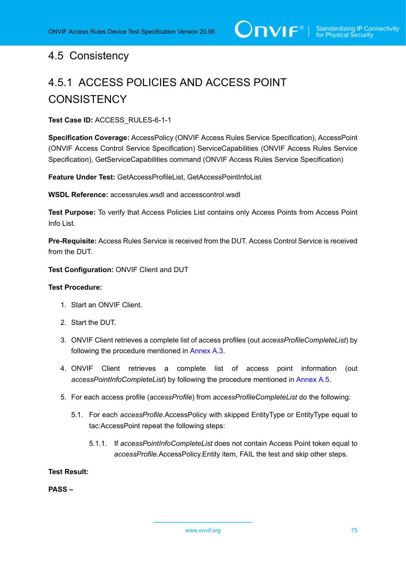# 4.5 Consistency

# 4.5.1 ACCESS POLICIES AND AСCESS POINT **CONSISTENCY**

**Test Case ID:** ACCESS\_RULES-6-1-1

**Specification Coverage:** AccessPolicy (ONVIF Access Rules Service Specification), AccessPoint (ONVIF Access Control Service Specification) ServiceCapabilities (ONVIF Access Rules Service Specification), GetServiceCapabilities command (ONVIF Access Rules Service Specification)

**Feature Under Test:** GetAccessProfileList, GetAccessPointInfoList

**WSDL Reference:** accessrules.wsdl and accesscontrol.wsdl

**Test Purpose:** To verify that Access Policies List contains only Access Points from Access Point Info List.

**Pre-Requisite:** Access Rules Service is received from the DUT. Access Control Service is received from the DUT.

**Test Configuration:** ONVIF Client and DUT

## **Test Procedure:**

- 1. Start an ONVIF Client.
- 2. Start the DUT.
- 3. ONVIF Client retrieves a complete list of access profiles (out *accessProfileCompleteList*) by following the procedure mentioned in [Annex A.3](#page-77-0).
- 4. ONVIF Client retrieves a complete list of access point information (out *accessPointInfoCompleteList*) by following the procedure mentioned in [Annex A.5](#page-80-0).
- 5. For each access profile (*accessProfile*) from *accessProfileCompleteList* do the following:
	- 5.1. For each *accessProfile*.AccessPolicy with skipped EntityType or EntityType equal to tac:AccessPoint repeat the following steps:
		- 5.1.1. If *accessPointInfoCompleteList* does not contain Access Point token equal to *accessProfile*.AccessPolicy.Entity item, FAIL the test and skip other steps.

**Test Result:**

**PASS –**

www.onvif.org 75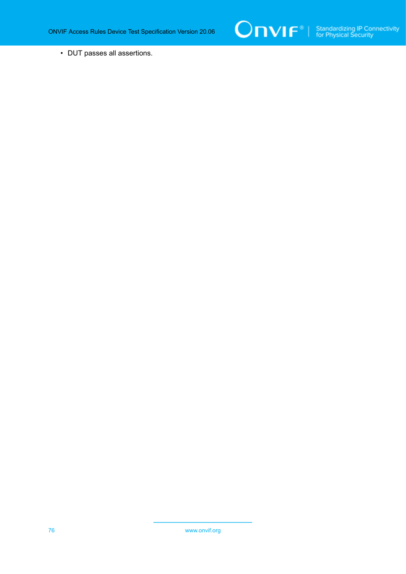

• DUT passes all assertions.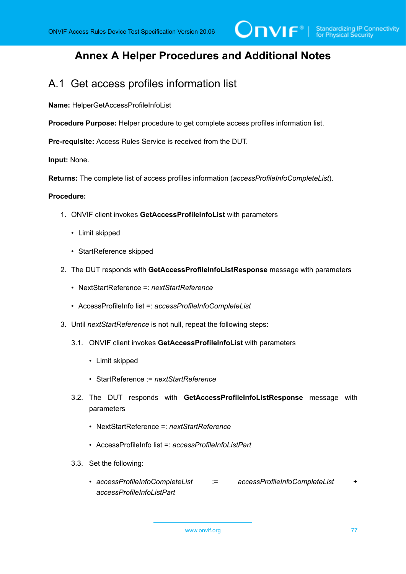# **Annex A Helper Procedures and Additional Notes**

# A.1 Get access profiles information list

**Name:** HelperGetAccessProfileInfoList

**Procedure Purpose:** Helper procedure to get complete access profiles information list.

**Pre-requisite:** Access Rules Service is received from the DUT.

**Input:** None.

**Returns:** The complete list of access profiles information (*accessProfileInfoCompleteList*).

#### **Procedure:**

- 1. ONVIF client invokes **GetAccessProfileInfoList** with parameters
	- Limit skipped
	- StartReference skipped
- 2. The DUT responds with **GetAccessProfileInfoListResponse** message with parameters
	- NextStartReference =: *nextStartReference*
	- AccessProfileInfo list =: *accessProfileInfoCompleteList*
- 3. Until *nextStartReference* is not null, repeat the following steps:
	- 3.1. ONVIF client invokes **GetAccessProfileInfoList** with parameters
		- Limit skipped
		- StartReference := *nextStartReference*
	- 3.2. The DUT responds with **GetAccessProfileInfoListResponse** message with parameters
		- NextStartReference =: *nextStartReference*
		- AccessProfileInfo list =: *accessProfileInfoListPart*
	- 3.3. Set the following:
		- *accessProfileInfoCompleteList* := *accessProfileInfoCompleteList* + *accessProfileInfoListPart*

www.onvif.org 77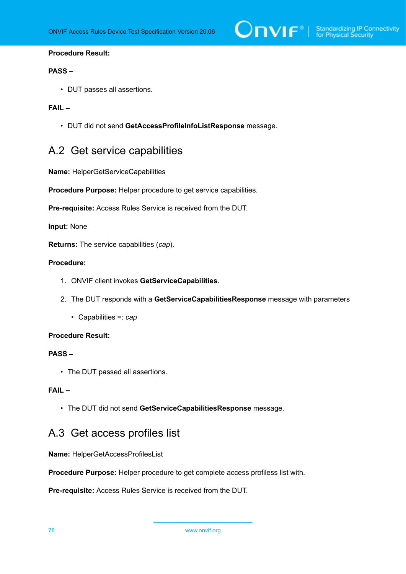

### **Procedure Result:**

### **PASS –**

• DUT passes all assertions.

# **FAIL –**

• DUT did not send **GetAccessProfileInfoListResponse** message.

# <span id="page-77-1"></span>A.2 Get service capabilities

**Name:** HelperGetServiceCapabilities

**Procedure Purpose:** Helper procedure to get service capabilities.

**Pre-requisite:** Access Rules Service is received from the DUT.

**Input:** None

**Returns:** The service capabilities (*cap*).

# **Procedure:**

- 1. ONVIF client invokes **GetServiceCapabilities**.
- 2. The DUT responds with a **GetServiceCapabilitiesResponse** message with parameters
	- Capabilities =: *cap*

### **Procedure Result:**

## **PASS –**

• The DUT passed all assertions.

### **FAIL –**

• The DUT did not send **GetServiceCapabilitiesResponse** message.

# <span id="page-77-0"></span>A.3 Get access profiles list

**Name:** HelperGetAccessProfilesList

**Procedure Purpose:** Helper procedure to get complete access profiless list with.

**Pre-requisite:** Access Rules Service is received from the DUT.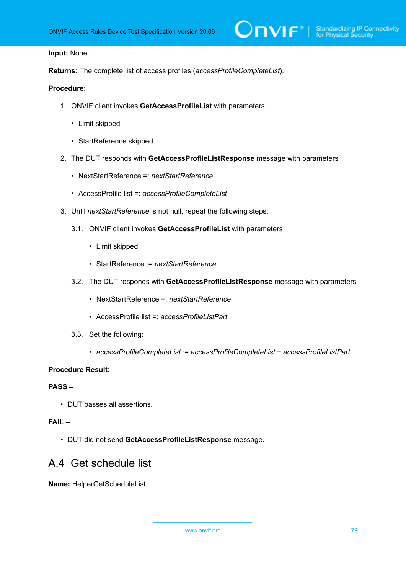#### **Input:** None.

**Returns:** The complete list of access profiles (*accessProfileCompleteList*).

# **Procedure:**

- 1. ONVIF client invokes **GetAccessProfileList** with parameters
	- Limit skipped
	- StartReference skipped
- 2. The DUT responds with **GetAccessProfileListResponse** message with parameters
	- NextStartReference =: *nextStartReference*
	- AccessProfile list =: *accessProfileCompleteList*
- 3. Until *nextStartReference* is not null, repeat the following steps:
	- 3.1. ONVIF client invokes **GetAccessProfileList** with parameters
		- Limit skipped
		- StartReference := *nextStartReference*
	- 3.2. The DUT responds with **GetAccessProfileListResponse** message with parameters
		- NextStartReference =: *nextStartReference*
		- AccessProfile list =: *accessProfileListPart*
	- 3.3. Set the following:
		- *accessProfileCompleteList* := *accessProfileCompleteList* + *accessProfileListPart*

# **Procedure Result:**

### **PASS –**

• DUT passes all assertions.

# **FAIL –**

• DUT did not send **GetAccessProfileListResponse** message.

# A.4 Get schedule list

**Name:** HelperGetScheduleList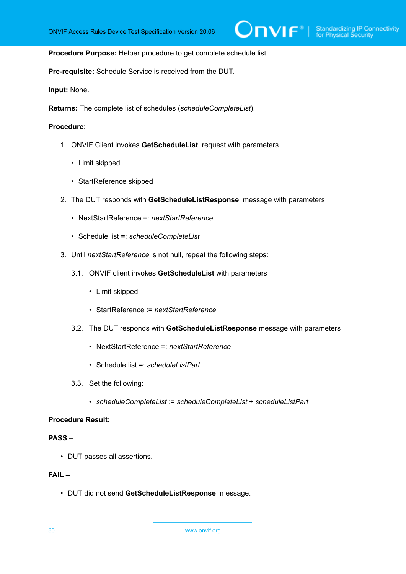**Procedure Purpose:** Helper procedure to get complete schedule list.

**Pre-requisite:** Schedule Service is received from the DUT.

**Input:** None.

**Returns:** The complete list of schedules (*scheduleCompleteList*).

#### **Procedure:**

- 1. ONVIF Client invokes **GetScheduleList** request with parameters
	- Limit skipped
	- StartReference skipped
- 2. The DUT responds with **GetScheduleListResponse** message with parameters
	- NextStartReference =: *nextStartReference*
	- Schedule list =: *scheduleCompleteList*
- 3. Until *nextStartReference* is not null, repeat the following steps:
	- 3.1. ONVIF client invokes **GetScheduleList** with parameters
		- Limit skipped
		- StartReference := *nextStartReference*
	- 3.2. The DUT responds with **GetScheduleListResponse** message with parameters
		- NextStartReference =: *nextStartReference*
		- Schedule list =: *scheduleListPart*
	- 3.3. Set the following:
		- *scheduleCompleteList* := *scheduleCompleteList* + *scheduleListPart*

#### **Procedure Result:**

#### **PASS –**

• DUT passes all assertions.

# **FAIL –**

• DUT did not send **GetScheduleListResponse** message.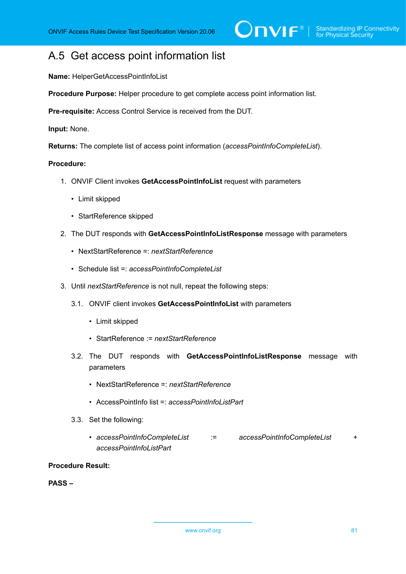# $\sum_{\text{IVIF}^{\circ} | \text{Standardizing IP Connectivity}}$

# <span id="page-80-0"></span>A.5 Get access point information list

**Name:** HelperGetAccessPointInfoList

**Procedure Purpose:** Helper procedure to get complete access point information list.

**Pre-requisite:** Access Control Service is received from the DUT.

### **Input:** None.

**Returns:** The complete list of access point information (*accessPointInfoCompleteList*).

### **Procedure:**

- 1. ONVIF Client invokes **GetAccessPointInfoList** request with parameters
	- Limit skipped
	- StartReference skipped
- 2. The DUT responds with **GetAccessPointInfoListResponse** message with parameters
	- NextStartReference =: *nextStartReference*
	- Schedule list =: *accessPointInfoCompleteList*
- 3. Until *nextStartReference* is not null, repeat the following steps:
	- 3.1. ONVIF client invokes **GetAccessPointInfoList** with parameters
		- Limit skipped
		- StartReference := *nextStartReference*
	- 3.2. The DUT responds with **GetAccessPointInfoListResponse** message with parameters
		- NextStartReference =: *nextStartReference*
		- AccessPointInfo list =: *accessPointInfoListPart*
	- 3.3. Set the following:
		- *accessPointInfoCompleteList* := *accessPointInfoCompleteList* + *accessPointInfoListPart*

### **Procedure Result:**

**PASS –**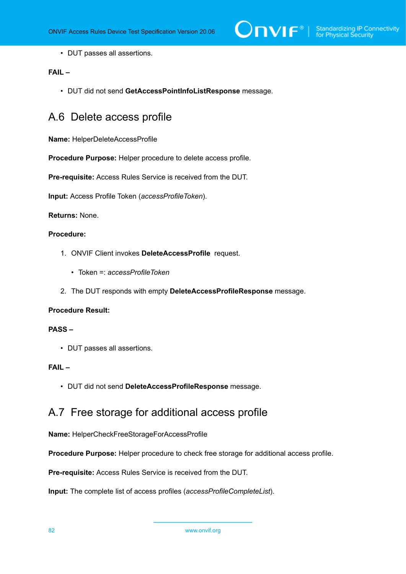• DUT passes all assertions.

# **FAIL –**

• DUT did not send **GetAccessPointInfoListResponse** message.

# <span id="page-81-0"></span>A.6 Delete access profile

**Name:** HelperDeleteAccessProfile

**Procedure Purpose:** Helper procedure to delete access profile.

**Pre-requisite:** Access Rules Service is received from the DUT.

**Input:** Access Profile Token (*accessProfileToken*).

**Returns:** None.

# **Procedure:**

- 1. ONVIF Client invokes **DeleteAccessProfile** request.
	- Token =: *accessProfileToken*
- 2. The DUT responds with empty **DeleteAccessProfileResponse** message.

## **Procedure Result:**

### **PASS –**

• DUT passes all assertions.

# **FAIL –**

• DUT did not send **DeleteAccessProfileResponse** message.

# A.7 Free storage for additional access profile

**Name:** HelperCheckFreeStorageForAccessProfile

**Procedure Purpose:** Helper procedure to check free storage for additional access profile.

**Pre-requisite:** Access Rules Service is received from the DUT.

**Input:** The complete list of access profiles (*accessProfileCompleteList*).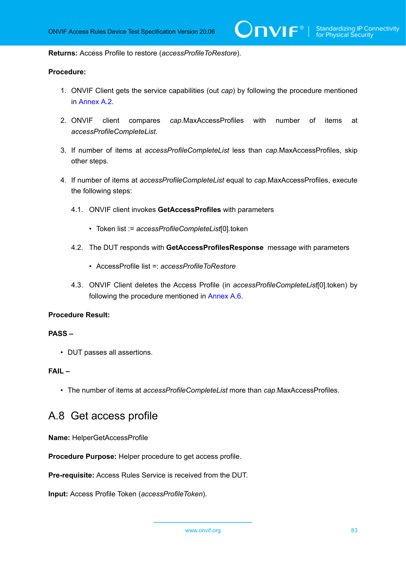**Returns:** Access Profile to restore (*accessProfileToRestore*).

# **Procedure:**

- 1. ONVIF Client gets the service capabilities (out *cap*) by following the procedure mentioned in [Annex A.2.](#page-77-1)
- 2. ONVIF client compares *cap*.MaxAccessProfiles with number of items at *accessProfileCompleteList*.
- 3. If number of items at *accessProfileCompleteList* less than *cap*.MaxAccessProfiles, skip other steps.
- 4. If number of items at *accessProfileCompleteList* equal to *cap*.MaxAccessProfiles, execute the following steps:
	- 4.1. ONVIF client invokes **GetAccessProfiles** with parameters
		- Token list := *accessProfileCompleteList*[0].token
	- 4.2. The DUT responds with **GetAccessProfilesResponse** message with parameters
		- AccessProfile list =: *accessProfileToRestore*
	- 4.3. ONVIF Client deletes the Access Profile (in *accessProfileCompleteList*[0].token) by following the procedure mentioned in [Annex A.6.](#page-81-0)

### **Procedure Result:**

## **PASS –**

• DUT passes all assertions.

# **FAIL –**

• The number of items at *accessProfileCompleteList* more than *cap*.MaxAccessProfiles.

# A.8 Get access profile

**Name:** HelperGetAccessProfile

**Procedure Purpose:** Helper procedure to get access profile.

**Pre-requisite:** Access Rules Service is received from the DUT.

**Input:** Access Profile Token (*accessProfileToken*).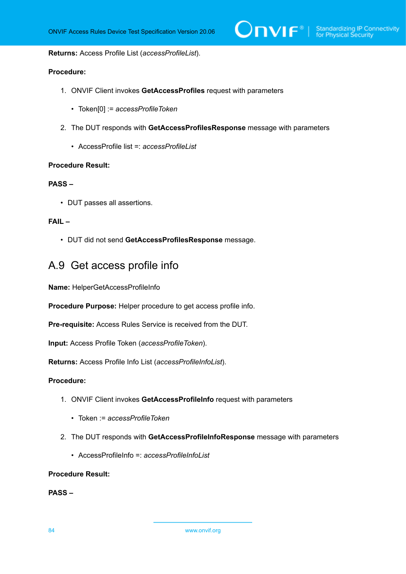**Returns:** Access Profile List (*accessProfileList*).

# **Procedure:**

- 1. ONVIF Client invokes **GetAccessProfiles** request with parameters
	- Token[0] := *accessProfileToken*
- 2. The DUT responds with **GetAccessProfilesResponse** message with parameters
	- AccessProfile list =: *accessProfileList*

#### **Procedure Result:**

#### **PASS –**

• DUT passes all assertions.

# **FAIL –**

• DUT did not send **GetAccessProfilesResponse** message.

# A.9 Get access profile info

**Name:** HelperGetAccessProfileInfo

**Procedure Purpose:** Helper procedure to get access profile info.

**Pre-requisite:** Access Rules Service is received from the DUT.

**Input:** Access Profile Token (*accessProfileToken*).

**Returns:** Access Profile Info List (*accessProfileInfoList*).

#### **Procedure:**

- 1. ONVIF Client invokes **GetAccessProfileInfo** request with parameters
	- Token := *accessProfileToken*
- 2. The DUT responds with **GetAccessProfileInfoResponse** message with parameters
	- AccessProfileInfo =: *accessProfileInfoList*

### **Procedure Result:**

**PASS –**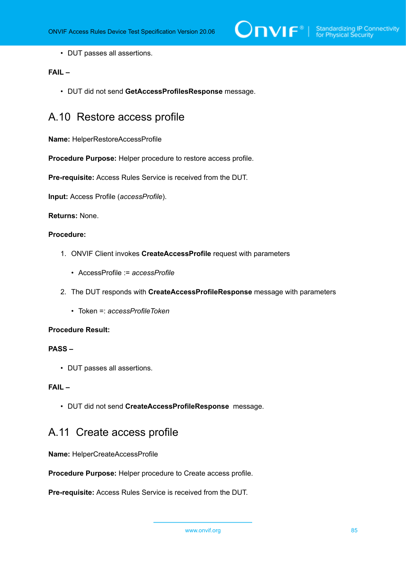

• DUT passes all assertions.

# **FAIL –**

• DUT did not send **GetAccessProfilesResponse** message.

# A.10 Restore access profile

**Name:** HelperRestoreAccessProfile

**Procedure Purpose:** Helper procedure to restore access profile.

**Pre-requisite:** Access Rules Service is received from the DUT.

**Input:** Access Profile (*accessProfile*).

**Returns:** None.

### **Procedure:**

- 1. ONVIF Client invokes **CreateAccessProfile** request with parameters
	- AccessProfile := *accessProfile*
- 2. The DUT responds with **CreateAccessProfileResponse** message with parameters
	- Token =: *accessProfileToken*

### **Procedure Result:**

# **PASS –**

• DUT passes all assertions.

# **FAIL –**

• DUT did not send **CreateAccessProfileResponse** message.

# A.11 Create access profile

**Name:** HelperCreateAccessProfile

**Procedure Purpose:** Helper procedure to Create access profile.

**Pre-requisite:** Access Rules Service is received from the DUT.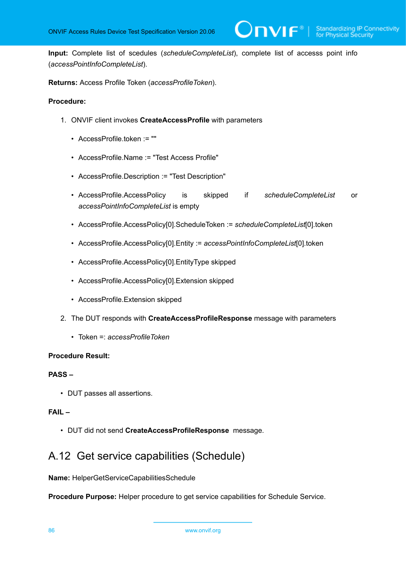$\overline{C}$ NIF $^{\circ}$ 

**Input:** Complete list of scedules (*scheduleCompleteList*), complete list of accesss point info (*accessPointInfoCompleteList*).

**Returns:** Access Profile Token (*accessProfileToken*).

# **Procedure:**

- 1. ONVIF client invokes **CreateAccessProfile** with parameters
	- AccessProfile.token := ""
	- AccessProfile.Name := "Test Access Profile"
	- AccessProfile.Description := "Test Description"
	- AccessProfile.AccessPolicy is skipped if *scheduleCompleteList* or *accessPointInfoCompleteList* is empty
	- AccessProfile.AccessPolicy[0].ScheduleToken := *scheduleCompleteList*[0].token
	- AccessProfile.AccessPolicy[0].Entity := *accessPointInfoCompleteList*[0].token
	- AccessProfile.AccessPolicy[0].EntityType skipped
	- AccessProfile.AccessPolicy[0].Extension skipped
	- AccessProfile.Extension skipped
- 2. The DUT responds with **CreateAccessProfileResponse** message with parameters
	- Token =: *accessProfileToken*

#### **Procedure Result:**

#### **PASS –**

• DUT passes all assertions.

# **FAIL –**

• DUT did not send **CreateAccessProfileResponse** message.

# A.12 Get service capabilities (Schedule)

**Name:** HelperGetServiceCapabilitiesSchedule

**Procedure Purpose:** Helper procedure to get service capabilities for Schedule Service.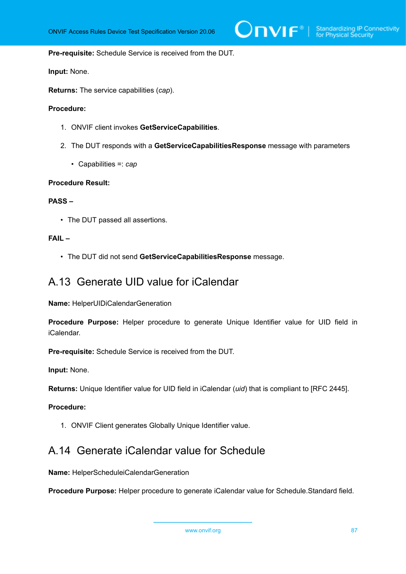#### **Pre-requisite:** Schedule Service is received from the DUT.

**Input:** None.

**Returns:** The service capabilities (*cap*).

### **Procedure:**

- 1. ONVIF client invokes **GetServiceCapabilities**.
- 2. The DUT responds with a **GetServiceCapabilitiesResponse** message with parameters
	- Capabilities =: *cap*

### **Procedure Result:**

# **PASS –**

• The DUT passed all assertions.

# **FAIL –**

• The DUT did not send **GetServiceCapabilitiesResponse** message.

# <span id="page-86-0"></span>A.13 Generate UID value for iCalendar

**Name:** HelperUIDiCalendarGeneration

**Procedure Purpose:** Helper procedure to generate Unique Identifier value for UID field in iCalendar.

**Pre-requisite:** Schedule Service is received from the DUT.

**Input:** None.

**Returns:** Unique Identifier value for UID field in iCalendar (*uid*) that is compliant to [RFC 2445].

# **Procedure:**

1. ONVIF Client generates Globally Unique Identifier value.

# A.14 Generate iCalendar value for Schedule

**Name:** HelperScheduleiCalendarGeneration

**Procedure Purpose:** Helper procedure to generate iCalendar value for Schedule.Standard field.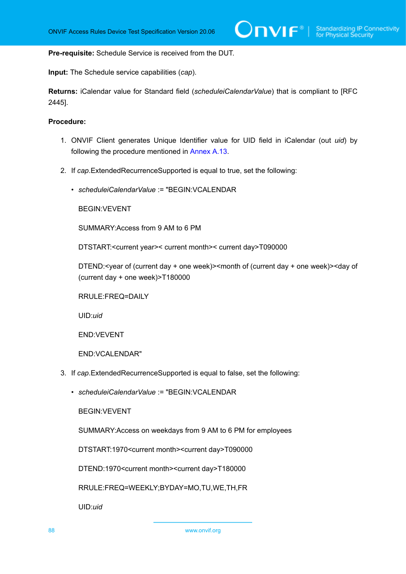**Pre-requisite:** Schedule Service is received from the DUT.

**Input:** The Schedule service capabilities (*cap*).

**Returns:** iCalendar value for Standard field (*scheduleiCalendarValue*) that is compliant to [RFC 2445].

### **Procedure:**

- 1. ONVIF Client generates Unique Identifier value for UID field in iCalendar (out *uid*) by following the procedure mentioned in [Annex A.13](#page-86-0).
- 2. If *cap*.ExtendedRecurrenceSupported is equal to true, set the following:
	- *scheduleiCalendarValue* := "BEGIN:VCALENDAR

BEGIN:VEVENT

SUMMARY:Access from 9 AM to 6 PM

DTSTART:<current year>< current month>< current day>T090000

DTEND:<year of (current day + one week)><month of (current day + one week)><day of (current day + one week)>T180000

RRULE:FREQ=DAILY

UID:*uid*

END:VEVENT

END:VCALENDAR"

- 3. If *cap*.ExtendedRecurrenceSupported is equal to false, set the following:
	- *scheduleiCalendarValue* := "BEGIN:VCALENDAR

BEGIN:VEVENT

SUMMARY:Access on weekdays from 9 AM to 6 PM for employees

DTSTART:1970<current month><current day>T090000

DTEND:1970<current month><current day>T180000

RRULE:FREQ=WEEKLY;BYDAY=MO,TU,WE,TH,FR

UID:*uid*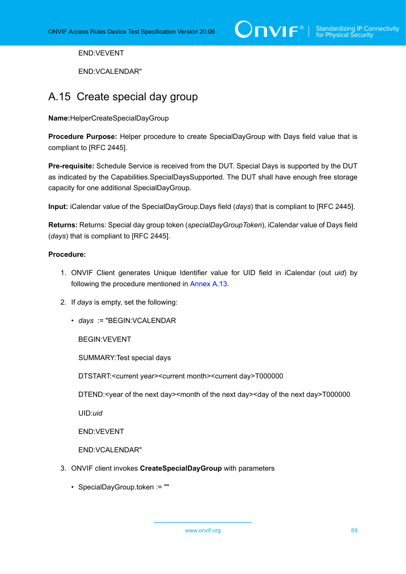$\sum_{i} \prod_{j} \big\{ \big\}^{\mathbb{R}} \big| \sum_{i}^{\text{Standardizing IP Connectivity}}$ 

END:VEVENT

END:VCALENDAR"

# A.15 Create special day group

**Name:**HelperCreateSpecialDayGroup

**Procedure Purpose:** Helper procedure to create SpecialDayGroup with Days field value that is compliant to [RFC 2445].

**Pre-requisite:** Schedule Service is received from the DUT. Special Days is supported by the DUT as indicated by the Capabilities.SpecialDaysSupported. The DUT shall have enough free storage capacity for one additional SpecialDayGroup.

**Input:** iCalendar value of the SpecialDayGroup.Days field (*days*) that is compliant to [RFC 2445].

**Returns:** Returns: Special day group token (*specialDayGroupToken*), iCalendar value of Days field (*days*) that is compliant to [RFC 2445].

# **Procedure:**

- 1. ONVIF Client generates Unique Identifier value for UID field in iCalendar (out *uid*) by following the procedure mentioned in [Annex A.13](#page-86-0).
- 2. If *days* is empty, set the following:
	- *days* := "BEGIN:VCALENDAR

BEGIN:VEVENT

SUMMARY:Test special days

DTSTART:<current year><current month><current day>T000000

DTEND:<year of the next day><month of the next day><day of the next day>T000000

UID:*uid*

END:VEVENT

END:VCALENDAR"

- 3. ONVIF client invokes **CreateSpecialDayGroup** with parameters
	- SpecialDayGroup.token := ""

www.onvif.org 89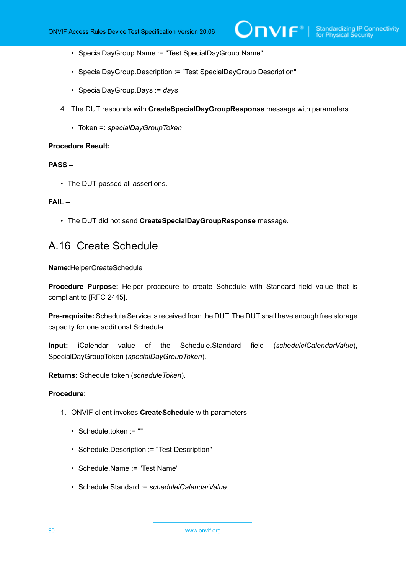- SpecialDayGroup.Name := "Test SpecialDayGroup Name"
- SpecialDayGroup.Description := "Test SpecialDayGroup Description"
- SpecialDayGroup.Days := *days*
- 4. The DUT responds with **CreateSpecialDayGroupResponse** message with parameters
	- Token =: *specialDayGroupToken*

#### **Procedure Result:**

### **PASS –**

• The DUT passed all assertions.

# **FAIL –**

• The DUT did not send **CreateSpecialDayGroupResponse** message.

# A.16 Create Schedule

#### **Name:**HelperCreateSchedule

**Procedure Purpose:** Helper procedure to create Schedule with Standard field value that is compliant to [RFC 2445].

**Pre-requisite:** Schedule Service is received from the DUT. The DUT shall have enough free storage capacity for one additional Schedule.

**Input:** iCalendar value of the Schedule.Standard field (*scheduleiCalendarValue*), SpecialDayGroupToken (*specialDayGroupToken*).

**Returns:** Schedule token (*scheduleToken*).

#### **Procedure:**

- 1. ONVIF client invokes **CreateSchedule** with parameters
	- Schedule.token := ""
	- Schedule.Description := "Test Description"
	- Schedule.Name := "Test Name"
	- Schedule.Standard := *scheduleiCalendarValue*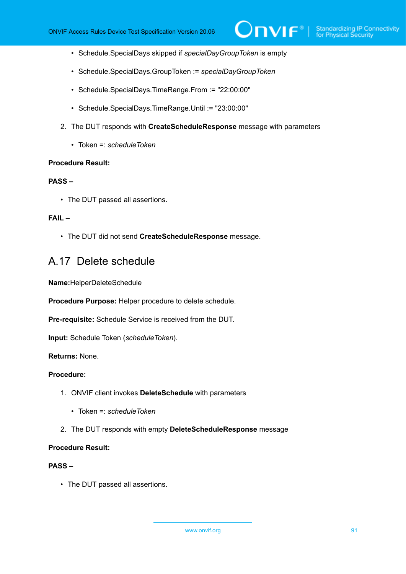- Schedule.SpecialDays skipped if *specialDayGroupToken* is empty
- Schedule.SpecialDays.GroupToken := *specialDayGroupToken*
- Schedule.SpecialDays.TimeRange.From := "22:00:00"
- Schedule.SpecialDays.TimeRange.Until := "23:00:00"
- 2. The DUT responds with **CreateScheduleResponse** message with parameters
	- Token =: *scheduleToken*

### **Procedure Result:**

#### **PASS –**

• The DUT passed all assertions.

#### **FAIL –**

• The DUT did not send **CreateScheduleResponse** message.

# A.17 Delete schedule

**Name:**HelperDeleteSchedule

**Procedure Purpose:** Helper procedure to delete schedule.

**Pre-requisite:** Schedule Service is received from the DUT.

**Input:** Schedule Token (*scheduleToken*).

### **Returns:** None.

### **Procedure:**

- 1. ONVIF client invokes **DeleteSchedule** with parameters
	- Token =: *scheduleToken*
- 2. The DUT responds with empty **DeleteScheduleResponse** message

# **Procedure Result:**

# **PASS –**

• The DUT passed all assertions.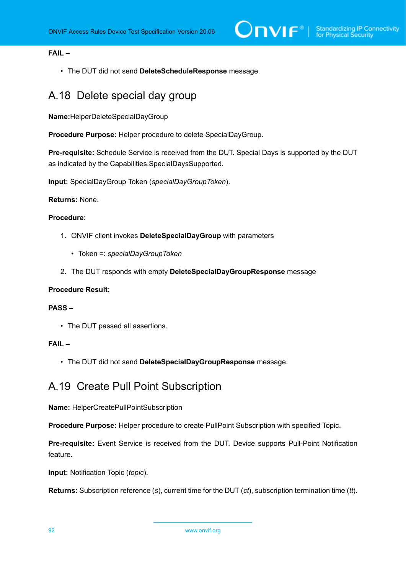# **FAIL –**

• The DUT did not send **DeleteScheduleResponse** message.

# A.18 Delete special day group

**Name:**HelperDeleteSpecialDayGroup

**Procedure Purpose:** Helper procedure to delete SpecialDayGroup.

**Pre-requisite:** Schedule Service is received from the DUT. Special Days is supported by the DUT as indicated by the Capabilities.SpecialDaysSupported.

**Input:** SpecialDayGroup Token (*specialDayGroupToken*).

### **Returns:** None.

# **Procedure:**

- 1. ONVIF client invokes **DeleteSpecialDayGroup** with parameters
	- Token =: *specialDayGroupToken*
- 2. The DUT responds with empty **DeleteSpecialDayGroupResponse** message

## **Procedure Result:**

### **PASS –**

• The DUT passed all assertions.

### **FAIL –**

• The DUT did not send **DeleteSpecialDayGroupResponse** message.

# A.19 Create Pull Point Subscription

**Name:** HelperCreatePullPointSubscription

**Procedure Purpose:** Helper procedure to create PullPoint Subscription with specified Topic.

**Pre-requisite:** Event Service is received from the DUT. Device supports Pull-Point Notification feature.

**Input:** Notification Topic (*topic*).

**Returns:** Subscription reference (*s*), current time for the DUT (*ct*), subscription termination time (*tt*).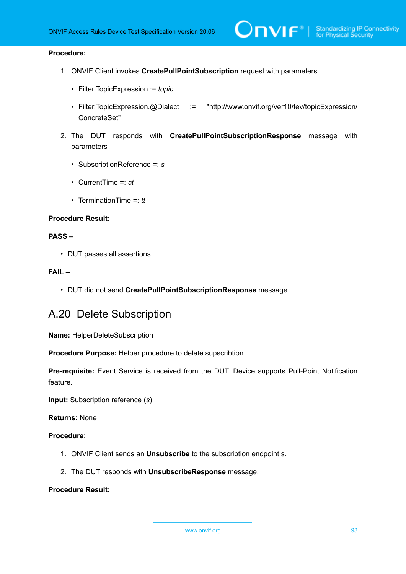## **Procedure:**

- 1. ONVIF Client invokes **CreatePullPointSubscription** request with parameters
	- Filter.TopicExpression := *topic*
	- Filter.TopicExpression.@Dialect := "http://www.onvif.org/ver10/tev/topicExpression/ ConcreteSet"
- 2. The DUT responds with **CreatePullPointSubscriptionResponse** message with parameters
	- SubscriptionReference =: *s*
	- CurrentTime =: *ct*
	- TerminationTime =: *tt*

#### **Procedure Result:**

# **PASS –**

• DUT passes all assertions.

### **FAIL –**

• DUT did not send **CreatePullPointSubscriptionResponse** message.

# A.20 Delete Subscription

**Name:** HelperDeleteSubscription

**Procedure Purpose:** Helper procedure to delete supscribtion.

**Pre-requisite:** Event Service is received from the DUT. Device supports Pull-Point Notification feature.

**Input:** Subscription reference (*s*)

**Returns:** None

# **Procedure:**

- 1. ONVIF Client sends an **Unsubscribe** to the subscription endpoint s.
- 2. The DUT responds with **UnsubscribeResponse** message.

#### **Procedure Result:**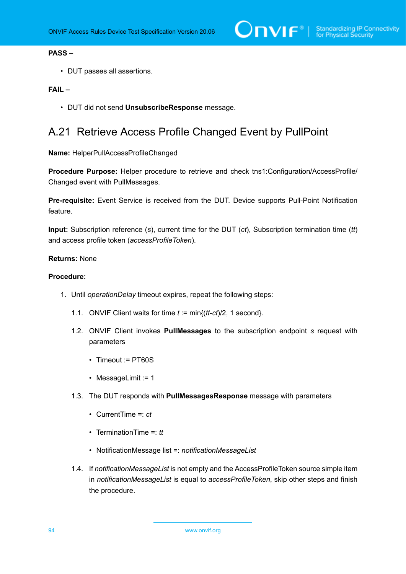# **PASS –**

• DUT passes all assertions.

# **FAIL –**

• DUT did not send **UnsubscribeResponse** message.

# A.21 Retrieve Access Profile Changed Event by PullPoint

**Name:** HelperPullAccessProfileChanged

**Procedure Purpose:** Helper procedure to retrieve and check tns1:Configuration/AccessProfile/ Changed event with PullMessages.

**Pre-requisite:** Event Service is received from the DUT. Device supports Pull-Point Notification feature.

**Input:** Subscription reference (*s*), current time for the DUT (*ct*), Subscription termination time (*tt*) and access profile token (*accessProfileToken*).

### **Returns:** None

### **Procedure:**

- <span id="page-93-0"></span>1. Until *operationDelay* timeout expires, repeat the following steps:
	- 1.1. ONVIF Client waits for time *t* := min{(*tt*-*ct*)/2, 1 second}.
	- 1.2. ONVIF Client invokes **PullMessages** to the subscription endpoint *s* request with parameters
		- Timeout := PT60S
		- MessageLimit := 1
	- 1.3. The DUT responds with **PullMessagesResponse** message with parameters
		- CurrentTime =: *ct*
		- TerminationTime =: *tt*
		- NotificationMessage list =: *notificationMessageList*
	- 1.4. If *notificationMessageList* is not empty and the AccessProfileToken source simple item in *notificationMessageList* is equal to *accessProfileToken*, skip other steps and finish the procedure.